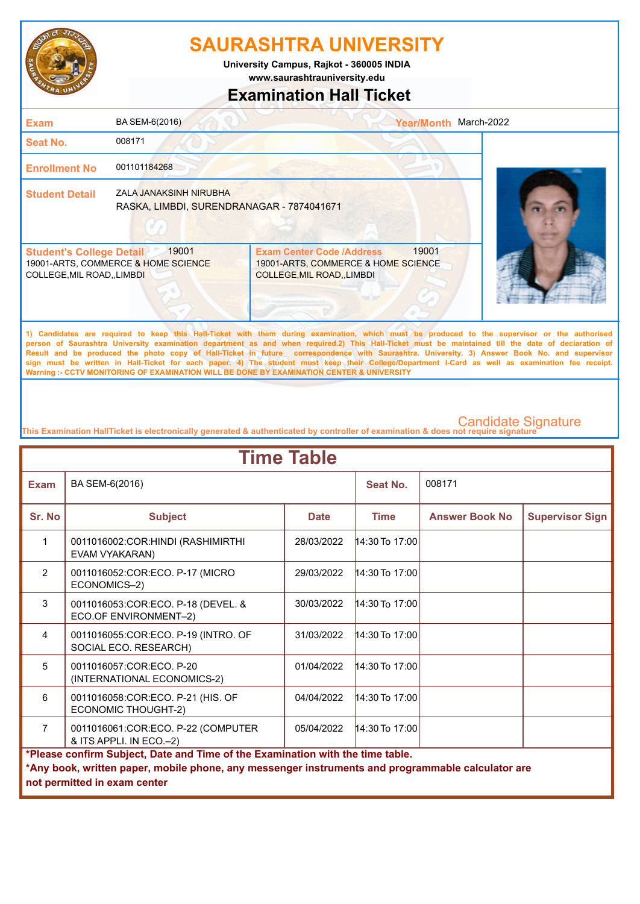

**www.saurashtrauniversity.edu University Campus, Rajkot - 360005 INDIA**

## **Examination Hall Ticket**

| <b>Exam</b>                                                    | BA SEM-6(2016)                                                      | <b>Year/Month</b>                                                                                                                            | March-2022 |
|----------------------------------------------------------------|---------------------------------------------------------------------|----------------------------------------------------------------------------------------------------------------------------------------------|------------|
| Seat No.                                                       | 008171                                                              |                                                                                                                                              |            |
| <b>Enrollment No</b>                                           | 001101184268                                                        |                                                                                                                                              |            |
| <b>Student Detail</b>                                          | ZALA JANAKSINH NIRUBHA<br>RASKA, LIMBDI, SURENDRANAGAR - 7874041671 |                                                                                                                                              |            |
| <b>Student's College Detail</b><br>COLLEGE, MIL ROAD, , LIMBDI | 19001<br>19001-ARTS, COMMERCE & HOME SCIENCE                        | 19001<br><b>Exam Center Code /Address</b><br>19001-ARTS, COMMERCE & HOME SCIENCE<br>COLLEGE, MIL ROAD, , LIMBDI                              |            |
|                                                                |                                                                     | 1) Candidates are required to keep this Hall-Ticket with them during examination, which must be produced to the supervisor or the authorised |            |

**person of Saurashtra University examination department as and when required.2) This Hall-Ticket must be maintained till the date of declaration of Result and be produced the photo copy of Hall-Ticket in future correspondence with Saurashtra. University. 3) Answer Book No. and supervisor sign must be written in Hall-Ticket for each paper. 4) The student must keep their College/Department I-Card as well as examination fee receipt. Warning :- CCTV MONITORING OF EXAMINATION WILL BE DONE BY EXAMINATION CENTER & UNIVERSITY**

| <b>Time Table</b>                                                                                                                                                                                                   |                                                                 |             |                  |                       |                        |  |
|---------------------------------------------------------------------------------------------------------------------------------------------------------------------------------------------------------------------|-----------------------------------------------------------------|-------------|------------------|-----------------------|------------------------|--|
| <b>Exam</b>                                                                                                                                                                                                         | BA SEM-6(2016)                                                  |             | Seat No.         | 008171                |                        |  |
| Sr. No                                                                                                                                                                                                              | <b>Subject</b>                                                  | <b>Date</b> | <b>Time</b>      | <b>Answer Book No</b> | <b>Supervisor Sign</b> |  |
| 1                                                                                                                                                                                                                   | 0011016002:COR:HINDI (RASHIMIRTHI<br>EVAM VYAKARAN)             | 28/03/2022  | $14:30$ To 17:00 |                       |                        |  |
| $\mathcal{P}$                                                                                                                                                                                                       | 0011016052:COR:ECO. P-17 (MICRO<br>ECONOMICS-2)                 | 29/03/2022  | $14:30$ To 17:00 |                       |                        |  |
| 3                                                                                                                                                                                                                   | 0011016053:COR:ECO. P-18 (DEVEL. &<br>ECO.OF ENVIRONMENT-2)     | 30/03/2022  | $14:30$ To 17:00 |                       |                        |  |
| 4                                                                                                                                                                                                                   | 0011016055:COR:ECO. P-19 (INTRO. OF<br>SOCIAL ECO. RESEARCH)    | 31/03/2022  | $14:30$ To 17:00 |                       |                        |  |
| 5                                                                                                                                                                                                                   | 0011016057:COR:ECO, P-20<br>(INTERNATIONAL ECONOMICS-2)         | 01/04/2022  | $14:30$ To 17:00 |                       |                        |  |
| 6                                                                                                                                                                                                                   | 0011016058:COR:ECO. P-21 (HIS. OF<br><b>ECONOMIC THOUGHT-2)</b> | 04/04/2022  | $14:30$ To 17:00 |                       |                        |  |
| $\overline{7}$                                                                                                                                                                                                      | 0011016061:COR:ECO. P-22 (COMPUTER<br>& ITS APPLI. IN ECO.-2)   | 05/04/2022  | $14:30$ To 17:00 |                       |                        |  |
| *Please confirm Subject, Date and Time of the Examination with the time table.<br>*Any book, written paper, mobile phone, any messenger instruments and programmable calculator are<br>not permitted in exam center |                                                                 |             |                  |                       |                        |  |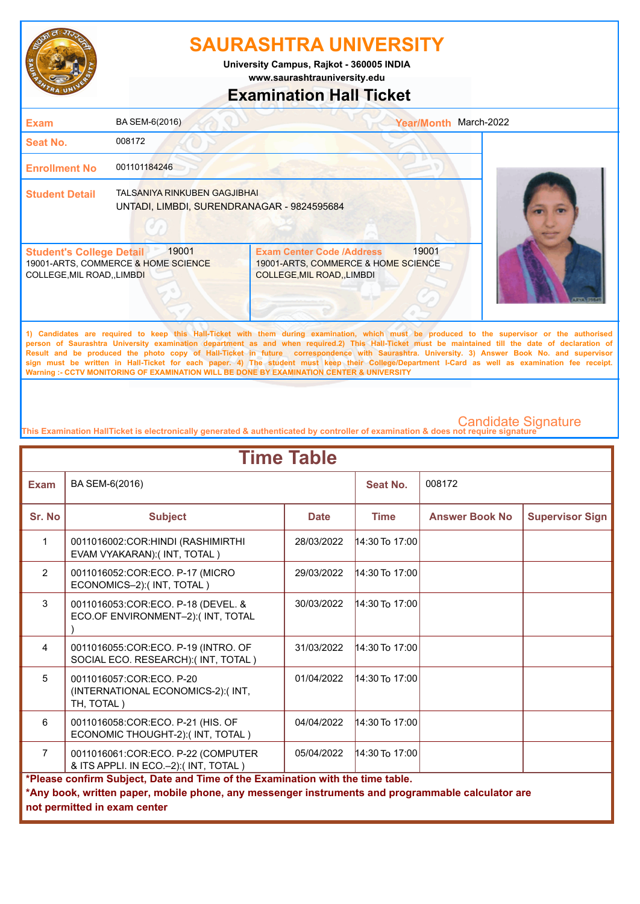

**www.saurashtrauniversity.edu University Campus, Rajkot - 360005 INDIA**

## **Examination Hall Ticket**

| <b>Exam</b>                                                    | BA SEM-6(2016)                                                             |                                                                                                                                              | March-2022<br><b>Year/Month</b> |  |
|----------------------------------------------------------------|----------------------------------------------------------------------------|----------------------------------------------------------------------------------------------------------------------------------------------|---------------------------------|--|
| <b>Seat No.</b>                                                | 008172                                                                     |                                                                                                                                              |                                 |  |
| <b>Enrollment No</b>                                           | 001101184246                                                               |                                                                                                                                              |                                 |  |
| <b>Student Detail</b>                                          | TALSANIYA RINKUBEN GAGJIBHAI<br>UNTADI, LIMBDI, SURENDRANAGAR - 9824595684 |                                                                                                                                              |                                 |  |
| <b>Student's College Detail</b><br>COLLEGE, MIL ROAD, , LIMBDI | 19001<br>19001-ARTS, COMMERCE & HOME SCIENCE                               | <b>Exam Center Code /Address</b><br>19001-ARTS, COMMERCE & HOME SCIENCE<br><b>COLLEGE, MIL ROAD, , LIMBDI</b>                                | 19001                           |  |
|                                                                |                                                                            | 1) Candidates are required to keep this Hall-Ticket with them during examination, which must be produced to the supervisor or the authorised |                                 |  |

**person of Saurashtra University examination department as and when required.2) This Hall-Ticket must be maintained till the date of declaration of Result and be produced the photo copy of Hall-Ticket in future correspondence with Saurashtra. University. 3) Answer Book No. and supervisor sign must be written in Hall-Ticket for each paper. 4) The student must keep their College/Department I-Card as well as examination fee receipt. Warning :- CCTV MONITORING OF EXAMINATION WILL BE DONE BY EXAMINATION CENTER & UNIVERSITY**

| <b>Time Table</b> |                                                                                                                                                                                                                     |             |                  |                       |                        |  |
|-------------------|---------------------------------------------------------------------------------------------------------------------------------------------------------------------------------------------------------------------|-------------|------------------|-----------------------|------------------------|--|
| <b>Exam</b>       | BA SEM-6(2016)                                                                                                                                                                                                      |             | Seat No.         | 008172                |                        |  |
| Sr. No            | <b>Subject</b>                                                                                                                                                                                                      | <b>Date</b> | <b>Time</b>      | <b>Answer Book No</b> | <b>Supervisor Sign</b> |  |
| $\mathbf{1}$      | 0011016002:COR:HINDI (RASHIMIRTHI<br>EVAM VYAKARAN):( INT, TOTAL)                                                                                                                                                   | 28/03/2022  | 14:30 To 17:00   |                       |                        |  |
| $\overline{2}$    | 0011016052:COR:ECO. P-17 (MICRO<br>ECONOMICS-2): (INT, TOTAL)                                                                                                                                                       | 29/03/2022  | $14:30$ To 17:00 |                       |                        |  |
| 3                 | 0011016053:COR:ECO. P-18 (DEVEL. &<br>ECO.OF ENVIRONMENT-2):(INT, TOTAL                                                                                                                                             | 30/03/2022  | $14:30$ To 17:00 |                       |                        |  |
| 4                 | 0011016055:COR:ECO. P-19 (INTRO. OF<br>SOCIAL ECO. RESEARCH):(INT, TOTAL)                                                                                                                                           | 31/03/2022  | 14:30 To 17:00   |                       |                        |  |
| 5                 | 0011016057:COR:ECO. P-20<br>(INTERNATIONAL ECONOMICS-2):(INT,<br>TH, TOTAL)                                                                                                                                         | 01/04/2022  | $14:30$ To 17:00 |                       |                        |  |
| 6                 | 0011016058:COR:ECO. P-21 (HIS. OF<br>ECONOMIC THOUGHT-2):(INT, TOTAL)                                                                                                                                               | 04/04/2022  | $14:30$ To 17:00 |                       |                        |  |
| $\overline{7}$    | 0011016061:COR:ECO. P-22 (COMPUTER<br>& ITS APPLI. IN ECO.-2):(INT, TOTAL)                                                                                                                                          | 05/04/2022  | 14:30 To 17:00   |                       |                        |  |
|                   | *Please confirm Subject, Date and Time of the Examination with the time table.<br>*Any book, written paper, mobile phone, any messenger instruments and programmable calculator are<br>not permitted in exam center |             |                  |                       |                        |  |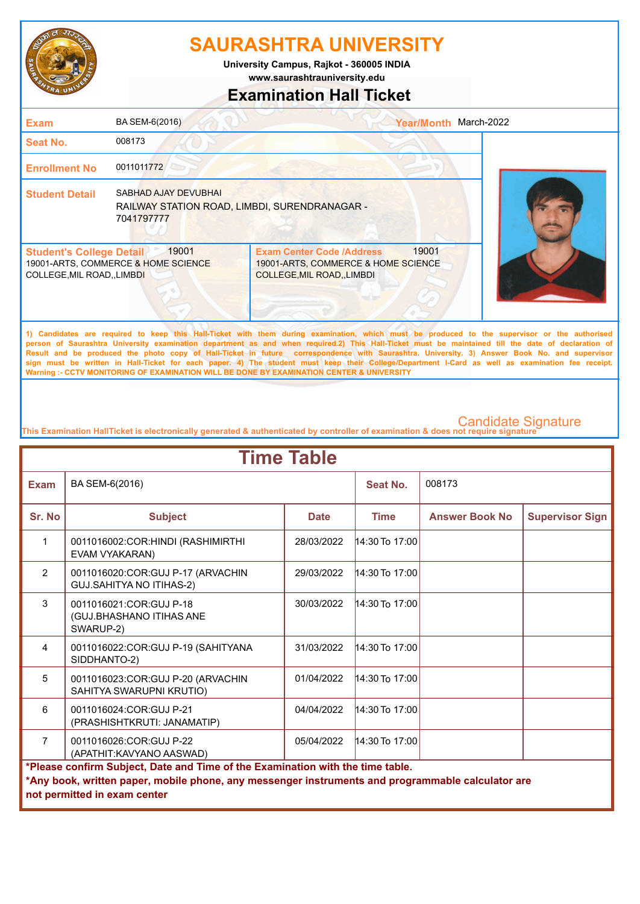

**www.saurashtrauniversity.edu University Campus, Rajkot - 360005 INDIA**

### **Examination Hall Ticket**

| <b>Exam</b>                                                    | BA SEM-6(2016)                                                                      |                                                                                                                                                                                                                                                                                                    | Year/Month March-2022 |  |
|----------------------------------------------------------------|-------------------------------------------------------------------------------------|----------------------------------------------------------------------------------------------------------------------------------------------------------------------------------------------------------------------------------------------------------------------------------------------------|-----------------------|--|
| Seat No.                                                       | 008173                                                                              |                                                                                                                                                                                                                                                                                                    |                       |  |
| <b>Enrollment No</b>                                           | 0011011772                                                                          |                                                                                                                                                                                                                                                                                                    |                       |  |
| <b>Student Detail</b>                                          | SABHAD AJAY DEVUBHAL<br>RAILWAY STATION ROAD, LIMBDI, SURENDRANAGAR -<br>7041797777 |                                                                                                                                                                                                                                                                                                    |                       |  |
| <b>Student's College Detail</b><br>COLLEGE, MIL ROAD, , LIMBDI | 19001<br>19001-ARTS, COMMERCE & HOME SCIENCE                                        | <b>Exam Center Code /Address</b><br>19001-ARTS, COMMERCE & HOME SCIENCE<br>COLLEGE, MIL ROAD, LIMBDI                                                                                                                                                                                               | 19001                 |  |
|                                                                |                                                                                     | 1) Candidates are required to keep this Hall-Ticket with them during examination, which must be produced to the supervisor or the authorised<br>person of Saurashtra University examination department as and when required.2) This Hall-Ticket must be maintained till the date of declaration of |                       |  |

**Result and be produced the photo copy of Hall-Ticket in future correspondence with Saurashtra. University. 3) Answer Book No. and supervisor sign must be written in Hall-Ticket for each paper. 4) The student must keep their College/Department I-Card as well as examination fee receipt. Warning :- CCTV MONITORING OF EXAMINATION WILL BE DONE BY EXAMINATION CENTER & UNIVERSITY**

| <b>Time Table</b>                                                                                                                                                                                                   |                                                                      |             |                  |                       |                        |  |
|---------------------------------------------------------------------------------------------------------------------------------------------------------------------------------------------------------------------|----------------------------------------------------------------------|-------------|------------------|-----------------------|------------------------|--|
| <b>Exam</b>                                                                                                                                                                                                         | BA SEM-6(2016)                                                       |             | Seat No.         | 008173                |                        |  |
| Sr. No                                                                                                                                                                                                              | <b>Subject</b>                                                       | <b>Date</b> | <b>Time</b>      | <b>Answer Book No</b> | <b>Supervisor Sign</b> |  |
| $\mathbf{1}$                                                                                                                                                                                                        | 0011016002:COR:HINDI (RASHIMIRTHI<br>EVAM VYAKARAN)                  | 28/03/2022  | 14:30 To 17:00   |                       |                        |  |
| $\overline{2}$                                                                                                                                                                                                      | 0011016020:COR:GUJ P-17 (ARVACHIN<br><b>GUJ.SAHITYA NO ITIHAS-2)</b> | 29/03/2022  | 14:30 To 17:00   |                       |                        |  |
| 3                                                                                                                                                                                                                   | 0011016021:COR:GUJ P-18<br>(GUJ.BHASHANO ITIHAS ANE<br>SWARUP-2)     | 30/03/2022  | $14:30$ To 17:00 |                       |                        |  |
| 4                                                                                                                                                                                                                   | 0011016022:COR:GUJ P-19 (SAHITYANA<br>SIDDHANTO-2)                   | 31/03/2022  | $14:30$ To 17:00 |                       |                        |  |
| 5                                                                                                                                                                                                                   | 0011016023:COR:GUJ P-20 (ARVACHIN<br>SAHITYA SWARUPNI KRUTIO)        | 01/04/2022  | $14:30$ To 17:00 |                       |                        |  |
| 6                                                                                                                                                                                                                   | 0011016024:COR:GUJ P-21<br>(PRASHISHTKRUTI: JANAMATIP)               | 04/04/2022  | 14:30 To 17:00   |                       |                        |  |
| $\overline{7}$                                                                                                                                                                                                      | 0011016026:COR:GUJ P-22<br>(APATHIT: KAVYANO AASWAD)                 | 05/04/2022  | $14:30$ To 17:00 |                       |                        |  |
| *Please confirm Subject, Date and Time of the Examination with the time table.<br>*Any book, written paper, mobile phone, any messenger instruments and programmable calculator are<br>not permitted in exam center |                                                                      |             |                  |                       |                        |  |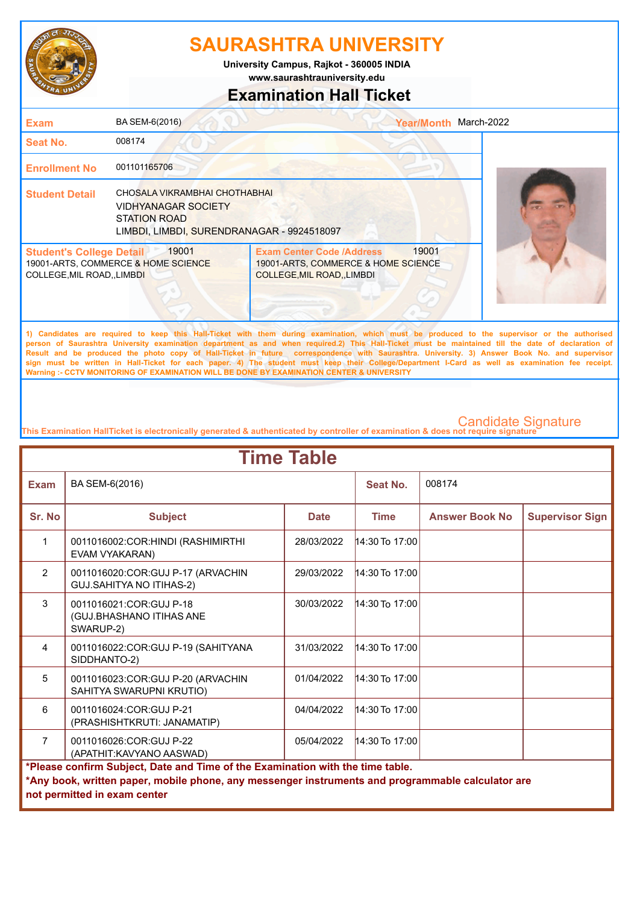

**www.saurashtrauniversity.edu University Campus, Rajkot - 360005 INDIA**

### **Examination Hall Ticket**

| <b>Exam</b>                                                    | BA SEM-6(2016)                                                                                                                   |                                                                                                             | <b>Year/Month</b> | March-2022                                                                                                                                                                                                                                                                                         |
|----------------------------------------------------------------|----------------------------------------------------------------------------------------------------------------------------------|-------------------------------------------------------------------------------------------------------------|-------------------|----------------------------------------------------------------------------------------------------------------------------------------------------------------------------------------------------------------------------------------------------------------------------------------------------|
| <b>Seat No.</b>                                                | 008174                                                                                                                           |                                                                                                             |                   |                                                                                                                                                                                                                                                                                                    |
| <b>Enrollment No</b>                                           | 001101165706                                                                                                                     |                                                                                                             |                   |                                                                                                                                                                                                                                                                                                    |
| <b>Student Detail</b>                                          | CHOSALA VIKRAMBHAI CHOTHABHAI<br><b>VIDHYANAGAR SOCIETY</b><br><b>STATION ROAD</b><br>LIMBDI, LIMBDI, SURENDRANAGAR - 9924518097 |                                                                                                             |                   |                                                                                                                                                                                                                                                                                                    |
| <b>Student's College Detail</b><br>COLLEGE, MIL ROAD, , LIMBDI | 19001<br>19001-ARTS, COMMERCE & HOME SCIENCE                                                                                     | <b>Exam Center Code /Address</b><br>19001-ARTS, COMMERCE & HOME SCIENCE<br><b>COLLEGE, MIL ROAD, LIMBDI</b> | 19001             |                                                                                                                                                                                                                                                                                                    |
|                                                                |                                                                                                                                  |                                                                                                             |                   | 1) Candidates are required to keep this Hall-Ticket with them during examination, which must be produced to the supervisor or the authorised<br>person of Saurashtra University examination department as and when required 2) This Hall-Ticket must be maintained till the date of declaration of |

**person of Saurashtra University examination department as and when required.2) This Hall-Ticket must be maintained till the date of declaration of Result and be produced the photo copy of Hall-Ticket in future correspondence with Saurashtra. University. 3) Answer Book No. and supervisor sign must be written in Hall-Ticket for each paper. 4) The student must keep their College/Department I-Card as well as examination fee receipt. Warning :- CCTV MONITORING OF EXAMINATION WILL BE DONE BY EXAMINATION CENTER & UNIVERSITY**

| <b>Time Table</b>                                                                                                                                                                                                   |                                                                      |             |                  |                       |                        |  |
|---------------------------------------------------------------------------------------------------------------------------------------------------------------------------------------------------------------------|----------------------------------------------------------------------|-------------|------------------|-----------------------|------------------------|--|
| <b>Exam</b>                                                                                                                                                                                                         | BA SEM-6(2016)                                                       |             | Seat No.         | 008174                |                        |  |
| Sr. No                                                                                                                                                                                                              | <b>Subject</b>                                                       | <b>Date</b> | <b>Time</b>      | <b>Answer Book No</b> | <b>Supervisor Sign</b> |  |
| $\mathbf{1}$                                                                                                                                                                                                        | 0011016002:COR:HINDI (RASHIMIRTHI<br>EVAM VYAKARAN)                  | 28/03/2022  | $14:30$ To 17:00 |                       |                        |  |
| $\overline{2}$                                                                                                                                                                                                      | 0011016020:COR:GUJ P-17 (ARVACHIN<br><b>GUJ.SAHITYA NO ITIHAS-2)</b> | 29/03/2022  | $14:30$ To 17:00 |                       |                        |  |
| 3                                                                                                                                                                                                                   | 0011016021:COR:GUJ P-18<br>(GUJ.BHASHANO ITIHAS ANE<br>SWARUP-2)     | 30/03/2022  | $14:30$ To 17:00 |                       |                        |  |
| $\overline{4}$                                                                                                                                                                                                      | 0011016022:COR:GUJ P-19 (SAHITYANA<br>SIDDHANTO-2)                   | 31/03/2022  | $14:30$ To 17:00 |                       |                        |  |
| 5                                                                                                                                                                                                                   | 0011016023:COR:GUJ P-20 (ARVACHIN<br>SAHITYA SWARUPNI KRUTIO)        | 01/04/2022  | $14:30$ To 17:00 |                       |                        |  |
| 6                                                                                                                                                                                                                   | 0011016024:COR:GUJ P-21<br>(PRASHISHTKRUTI: JANAMATIP)               | 04/04/2022  | $14:30$ To 17:00 |                       |                        |  |
| $\overline{7}$                                                                                                                                                                                                      | 0011016026:COR:GUJ P-22<br>(APATHIT: KAVYANO AASWAD)                 | 05/04/2022  | $14:30$ To 17:00 |                       |                        |  |
| *Please confirm Subject, Date and Time of the Examination with the time table.<br>*Any book, written paper, mobile phone, any messenger instruments and programmable calculator are<br>not permitted in exam center |                                                                      |             |                  |                       |                        |  |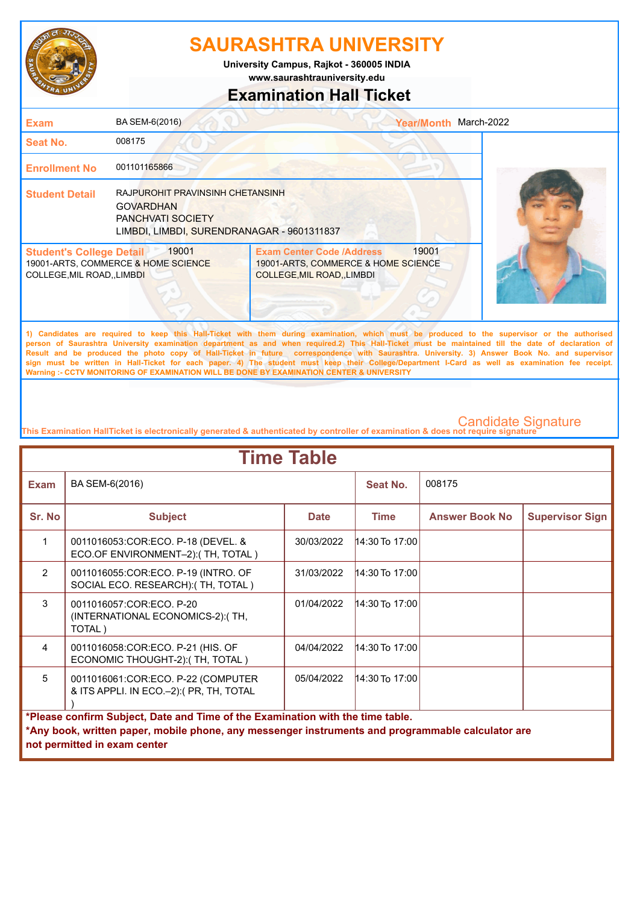

**www.saurashtrauniversity.edu University Campus, Rajkot - 360005 INDIA**

### **Examination Hall Ticket**

| <b>Exam</b>                                                          | BA SEM-6(2016)                                                                                                                 |                                                                                                        | <b>Year/Month</b> | March-2022                                                                                                                                                                                                                                                                                         |
|----------------------------------------------------------------------|--------------------------------------------------------------------------------------------------------------------------------|--------------------------------------------------------------------------------------------------------|-------------------|----------------------------------------------------------------------------------------------------------------------------------------------------------------------------------------------------------------------------------------------------------------------------------------------------|
| Seat No.                                                             | 008175                                                                                                                         |                                                                                                        |                   |                                                                                                                                                                                                                                                                                                    |
| <b>Enrollment No</b>                                                 | 001101165866                                                                                                                   |                                                                                                        |                   |                                                                                                                                                                                                                                                                                                    |
| <b>Student Detail</b>                                                | RAJPUROHIT PRAVINSINH CHETANSINH<br><b>GOVARDHAN</b><br><b>PANCHVATI SOCIETY</b><br>LIMBDI, LIMBDI, SURENDRANAGAR - 9601311837 |                                                                                                        |                   |                                                                                                                                                                                                                                                                                                    |
| <b>Student's College Detail</b><br><b>COLLEGE, MIL ROAD,, LIMBDI</b> | 19001<br>19001-ARTS, COMMERCE & HOME SCIENCE                                                                                   | <b>Exam Center Code /Address</b><br>19001-ARTS, COMMERCE & HOME SCIENCE<br>COLLEGE, MIL ROAD, , LIMBDI | 19001             |                                                                                                                                                                                                                                                                                                    |
|                                                                      |                                                                                                                                |                                                                                                        |                   | 1) Candidates are required to keep this Hall-Ticket with them during examination, which must be produced to the supervisor or the authorised<br>person of Saurashtra University examination department as and when required.2) This Hall-Ticket must be maintained till the date of declaration of |

**Result and be produced the photo copy of Hall-Ticket in future correspondence with Saurashtra. University. 3) Answer Book No. and supervisor sign must be written in Hall-Ticket for each paper. 4) The student must keep their College/Department I-Card as well as examination fee receipt. Warning :- CCTV MONITORING OF EXAMINATION WILL BE DONE BY EXAMINATION CENTER & UNIVERSITY**

| <b>Time Table</b>                                                                                                                                                                                                   |                                                                               |             |                  |                       |                        |  |
|---------------------------------------------------------------------------------------------------------------------------------------------------------------------------------------------------------------------|-------------------------------------------------------------------------------|-------------|------------------|-----------------------|------------------------|--|
| <b>Exam</b>                                                                                                                                                                                                         | BA SEM-6(2016)                                                                |             | Seat No.         | 008175                |                        |  |
| Sr. No                                                                                                                                                                                                              | <b>Subject</b>                                                                | <b>Date</b> | <b>Time</b>      | <b>Answer Book No</b> | <b>Supervisor Sign</b> |  |
| $\mathbf{1}$                                                                                                                                                                                                        | 0011016053: COR: ECO. P-18 (DEVEL. &<br>ECO.OF ENVIRONMENT-2):(TH, TOTAL)     | 30/03/2022  | $14:30$ To 17:00 |                       |                        |  |
| $\overline{2}$                                                                                                                                                                                                      | 0011016055:COR:ECO. P-19 (INTRO. OF<br>SOCIAL ECO. RESEARCH):(TH, TOTAL)      | 31/03/2022  | $14:30$ To 17:00 |                       |                        |  |
| $\mathcal{R}$                                                                                                                                                                                                       | 0011016057:COR:ECO, P-20<br>(INTERNATIONAL ECONOMICS-2): (TH,<br>TOTAL)       | 01/04/2022  | $14:30$ To 17:00 |                       |                        |  |
| $\overline{4}$                                                                                                                                                                                                      | 0011016058:COR:ECO. P-21 (HIS. OF<br>ECONOMIC THOUGHT-2): (TH, TOTAL)         | 04/04/2022  | $14:30$ To 17:00 |                       |                        |  |
| 5                                                                                                                                                                                                                   | 0011016061:COR:ECO. P-22 (COMPUTER<br>& ITS APPLI. IN ECO.-2): (PR, TH, TOTAL | 05/04/2022  | $14:30$ To 17:00 |                       |                        |  |
| *Please confirm Subject, Date and Time of the Examination with the time table.<br>*Any book, written paper, mobile phone, any messenger instruments and programmable calculator are<br>not permitted in exam center |                                                                               |             |                  |                       |                        |  |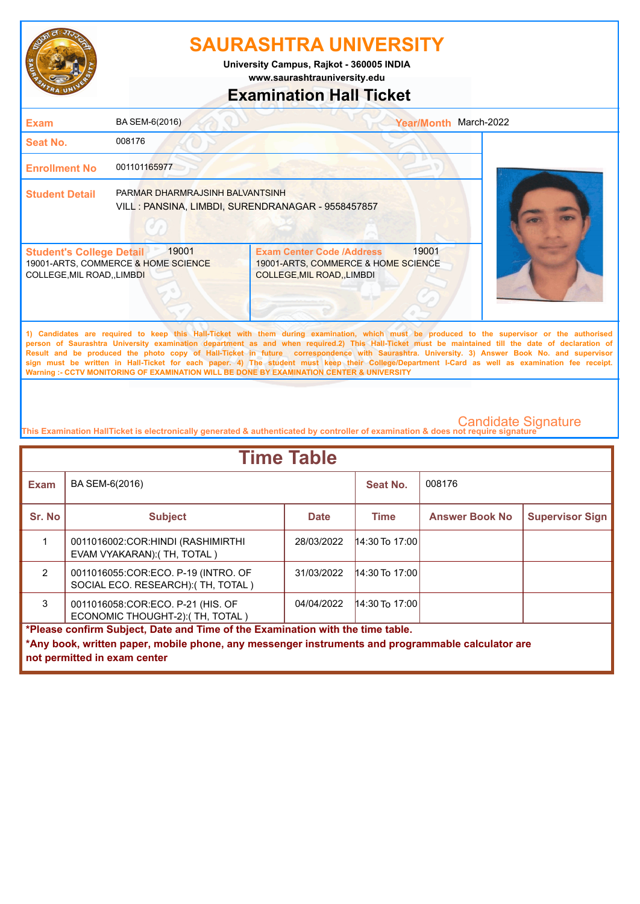

**www.saurashtrauniversity.edu University Campus, Rajkot - 360005 INDIA**

## **Examination Hall Ticket**

| <b>Exam</b>                                                         | BA SEM-6(2016)                                                                        |                                                                                                                                                                                                                                                                                                    | <b>Year/Month</b> | March-2022 |
|---------------------------------------------------------------------|---------------------------------------------------------------------------------------|----------------------------------------------------------------------------------------------------------------------------------------------------------------------------------------------------------------------------------------------------------------------------------------------------|-------------------|------------|
| <b>Seat No.</b>                                                     | 008176                                                                                |                                                                                                                                                                                                                                                                                                    |                   |            |
| <b>Enrollment No</b>                                                | 001101165977                                                                          |                                                                                                                                                                                                                                                                                                    |                   |            |
| <b>Student Detail</b>                                               | PARMAR DHARMRAJSINH BALVANTSINH<br>VILL : PANSINA, LIMBDI, SURENDRANAGAR - 9558457857 |                                                                                                                                                                                                                                                                                                    |                   |            |
| <b>Student's College Detail</b><br><b>COLLEGE, MIL ROAD, LIMBDI</b> | 19001<br>19001-ARTS, COMMERCE & HOME SCIENCE                                          | <b>Exam Center Code /Address</b><br>19001-ARTS, COMMERCE & HOME SCIENCE<br><b>COLLEGE, MIL ROAD, LIMBDI</b>                                                                                                                                                                                        | 19001             |            |
|                                                                     |                                                                                       | 1) Candidates are required to keep this Hall-Ticket with them during examination, which must be produced to the supervisor or the authorised<br>person of Saurashtra University examination department as and when required.2) This Hall-Ticket must be maintained till the date of declaration of |                   |            |

**Result and be produced the photo copy of Hall-Ticket in future correspondence with Saurashtra. University. 3) Answer Book No. and supervisor sign must be written in Hall-Ticket for each paper. 4) The student must keep their College/Department I-Card as well as examination fee receipt. Warning :- CCTV MONITORING OF EXAMINATION WILL BE DONE BY EXAMINATION CENTER & UNIVERSITY**

| <b>Time Table</b>                                                                                 |                                                                           |             |                  |                       |                        |  |  |
|---------------------------------------------------------------------------------------------------|---------------------------------------------------------------------------|-------------|------------------|-----------------------|------------------------|--|--|
| <b>Exam</b>                                                                                       | BA SEM-6(2016)                                                            |             | Seat No.         | 008176                |                        |  |  |
| Sr. No                                                                                            | <b>Subject</b>                                                            | <b>Date</b> | <b>Time</b>      | <b>Answer Book No</b> | <b>Supervisor Sign</b> |  |  |
|                                                                                                   | 0011016002:COR:HINDI (RASHIMIRTHI<br>EVAM VYAKARAN): (TH, TOTAL)          | 28/03/2022  | 14:30 To 17:00   |                       |                        |  |  |
| $\mathcal{P}$                                                                                     | 0011016055:COR:ECO. P-19 (INTRO. OF<br>SOCIAL ECO. RESEARCH): (TH, TOTAL) | 31/03/2022  | $14:30$ To 17:00 |                       |                        |  |  |
| 3                                                                                                 | 0011016058:COR:ECO. P-21 (HIS. OF<br>ECONOMIC THOUGHT-2): (TH, TOTAL)     | 04/04/2022  | $14:30$ To 17:00 |                       |                        |  |  |
| *Please confirm Subject, Date and Time of the Examination with the time table.                    |                                                                           |             |                  |                       |                        |  |  |
| *Any book, written paper, mobile phone, any messenger instruments and programmable calculator are |                                                                           |             |                  |                       |                        |  |  |
|                                                                                                   | not permitted in exam center                                              |             |                  |                       |                        |  |  |
|                                                                                                   |                                                                           |             |                  |                       |                        |  |  |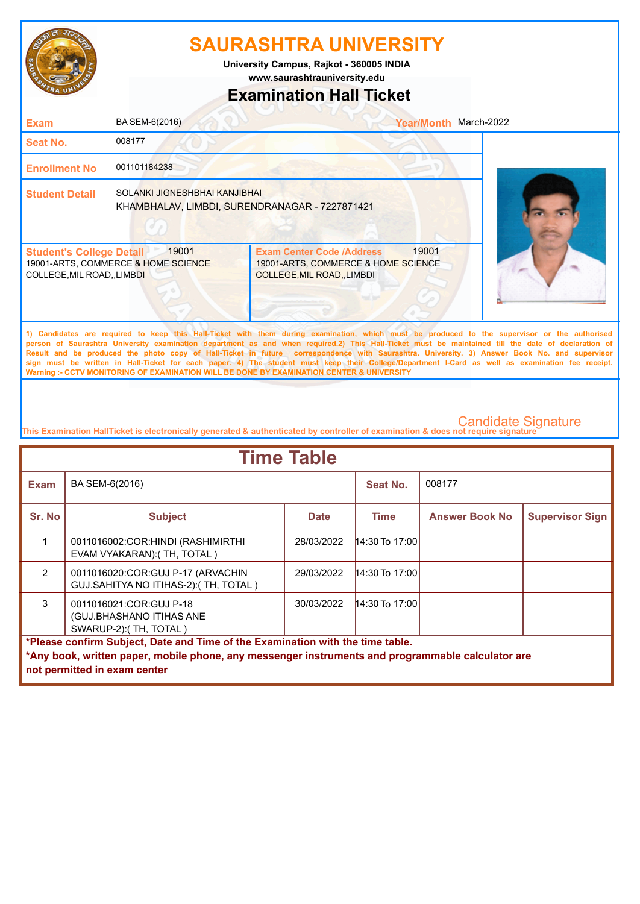

**www.saurashtrauniversity.edu University Campus, Rajkot - 360005 INDIA**

### **Examination Hall Ticket**

| <b>Exam</b>                                                          | BA SEM-6(2016)                                                                  |                                                                                                        | <b>Year/Month</b> | March-2022                                                                                                                                                                                                                                                                                                                                                                     |
|----------------------------------------------------------------------|---------------------------------------------------------------------------------|--------------------------------------------------------------------------------------------------------|-------------------|--------------------------------------------------------------------------------------------------------------------------------------------------------------------------------------------------------------------------------------------------------------------------------------------------------------------------------------------------------------------------------|
| <b>Seat No.</b>                                                      | 008177                                                                          |                                                                                                        |                   |                                                                                                                                                                                                                                                                                                                                                                                |
| <b>Enrollment No</b>                                                 | 001101184238                                                                    |                                                                                                        |                   |                                                                                                                                                                                                                                                                                                                                                                                |
| <b>Student Detail</b>                                                | SOLANKI JIGNESHBHAI KANJIBHAI<br>KHAMBHALAV, LIMBDI, SURENDRANAGAR - 7227871421 |                                                                                                        |                   |                                                                                                                                                                                                                                                                                                                                                                                |
| <b>Student's College Detail</b><br><b>COLLEGE, MIL ROAD,, LIMBDI</b> | 19001<br>19001-ARTS, COMMERCE & HOME SCIENCE                                    | <b>Exam Center Code /Address</b><br>19001-ARTS, COMMERCE & HOME SCIENCE<br>COLLEGE, MIL ROAD, , LIMBDI | 19001             |                                                                                                                                                                                                                                                                                                                                                                                |
|                                                                      |                                                                                 |                                                                                                        |                   | 1) Candidates are required to keep this Hall-Ticket with them during examination, which must be produced to the supervisor or the authorised<br>The contract of the contract of the contract of the contract of the contract of the problems of the contract of the contract of the contract of the contract of the contract of the contract of the contract of the contract o |

**person of Saurashtra University examination department as and when required.2) This Hall-Ticket must be maintained till the date of declaration of Result and be produced the photo copy of Hall-Ticket in future correspondence with Saurashtra. University. 3) Answer Book No. and supervisor sign must be written in Hall-Ticket for each paper. 4) The student must keep their College/Department I-Card as well as examination fee receipt. Warning :- CCTV MONITORING OF EXAMINATION WILL BE DONE BY EXAMINATION CENTER & UNIVERSITY**

| <b>Time Table</b> |                                                                                                                                                                                                                     |             |                  |                       |                        |  |
|-------------------|---------------------------------------------------------------------------------------------------------------------------------------------------------------------------------------------------------------------|-------------|------------------|-----------------------|------------------------|--|
| <b>Exam</b>       | BA SEM-6(2016)                                                                                                                                                                                                      |             | Seat No.         | 008177                |                        |  |
| Sr. No            | <b>Subject</b>                                                                                                                                                                                                      | <b>Date</b> | Time             | <b>Answer Book No</b> | <b>Supervisor Sign</b> |  |
|                   | 0011016002:COR:HINDI (RASHIMIRTHI)<br>EVAM VYAKARAN): (TH, TOTAL)                                                                                                                                                   | 28/03/2022  | $14:30$ To 17:00 |                       |                        |  |
| $\mathcal{P}$     | 0011016020:COR:GUJ P-17 (ARVACHIN<br>GUJ.SAHITYA NO ITIHAS-2): (TH, TOTAL)                                                                                                                                          | 29/03/2022  | $14:30$ To 17:00 |                       |                        |  |
| 3                 | 0011016021:COR:GUJ P-18<br>(GUJ.BHASHANO ITIHAS ANE<br>SWARUP-2): (TH, TOTAL)                                                                                                                                       | 30/03/2022  | $14:30$ To 17:00 |                       |                        |  |
|                   | *Please confirm Subject, Date and Time of the Examination with the time table.<br>*Any book, written paper, mobile phone, any messenger instruments and programmable calculator are<br>not permitted in exam center |             |                  |                       |                        |  |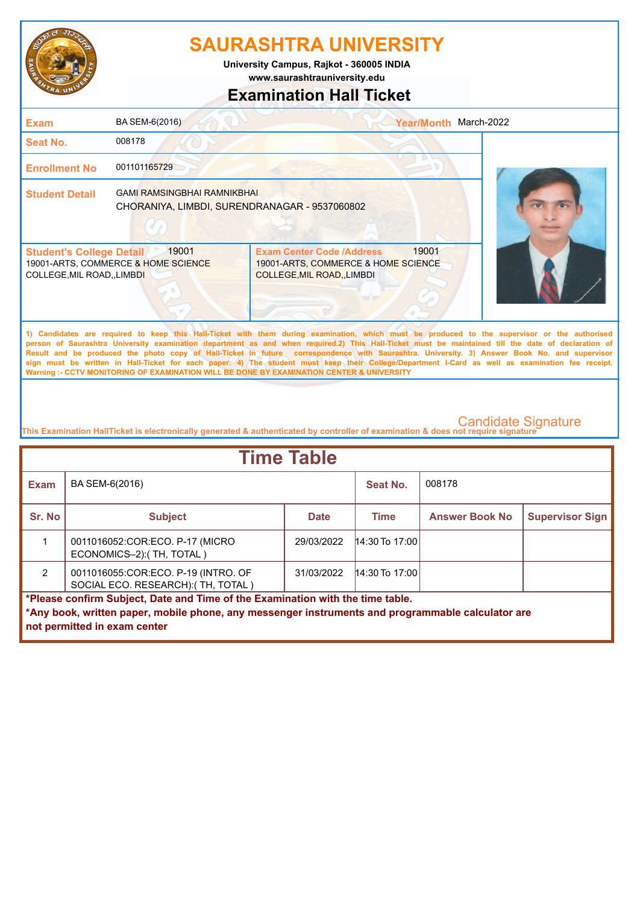

**www.saurashtrauniversity.edu University Campus, Rajkot - 360005 INDIA**

## **Examination Hall Ticket**

| <b>Exam</b>                                                    | BA SEM-6(2016)                                                                      |                                                                                                             | <b>Year/Month</b> | March-2022                                                                                                                                                                                                                                                                                         |
|----------------------------------------------------------------|-------------------------------------------------------------------------------------|-------------------------------------------------------------------------------------------------------------|-------------------|----------------------------------------------------------------------------------------------------------------------------------------------------------------------------------------------------------------------------------------------------------------------------------------------------|
| Seat No.                                                       | 008178                                                                              |                                                                                                             |                   |                                                                                                                                                                                                                                                                                                    |
| <b>Enrollment No</b>                                           | 001101165729                                                                        |                                                                                                             |                   |                                                                                                                                                                                                                                                                                                    |
| <b>Student Detail</b>                                          | <b>GAMI RAMSINGBHAI RAMNIKBHAI</b><br>CHORANIYA, LIMBDI, SURENDRANAGAR - 9537060802 |                                                                                                             |                   |                                                                                                                                                                                                                                                                                                    |
| <b>Student's College Detail</b><br>COLLEGE, MIL ROAD, , LIMBDI | 19001<br>19001-ARTS, COMMERCE & HOME SCIENCE                                        | <b>Exam Center Code /Address</b><br>19001-ARTS, COMMERCE & HOME SCIENCE<br><b>COLLEGE, MIL ROAD, LIMBDI</b> | 19001             |                                                                                                                                                                                                                                                                                                    |
|                                                                |                                                                                     |                                                                                                             |                   | 1) Candidates are required to keep this Hall-Ticket with them during examination, which must be produced to the supervisor or the authorised<br>person of Saurashtra University examination department as and when required.2) This Hall-Ticket must be maintained till the date of declaration of |

**Result and be produced the photo copy of Hall-Ticket in future correspondence with Saurashtra. University. 3) Answer Book No. and supervisor sign must be written in Hall-Ticket for each paper. 4) The student must keep their College/Department I-Card as well as examination fee receipt. Warning :- CCTV MONITORING OF EXAMINATION WILL BE DONE BY EXAMINATION CENTER & UNIVERSITY**

| <b>Time Table</b>                                                                                 |                                                                                |             |                  |                       |                        |  |
|---------------------------------------------------------------------------------------------------|--------------------------------------------------------------------------------|-------------|------------------|-----------------------|------------------------|--|
| <b>Exam</b>                                                                                       | BA SEM-6(2016)                                                                 |             | Seat No.         | 008178                |                        |  |
| Sr. No                                                                                            | <b>Subject</b>                                                                 | <b>Date</b> | <b>Time</b>      | <b>Answer Book No</b> | <b>Supervisor Sign</b> |  |
|                                                                                                   | 0011016052:COR:ECO. P-17 (MICRO<br>ECONOMICS-2): (TH, TOTAL)                   | 29/03/2022  | $14:30$ To 17:00 |                       |                        |  |
| $\mathcal{P}$                                                                                     | 0011016055:COR:ECO. P-19 (INTRO. OF<br>SOCIAL ECO. RESEARCH): (TH, TOTAL)      | 31/03/2022  | $14:30$ To 17:00 |                       |                        |  |
|                                                                                                   | *Please confirm Subject, Date and Time of the Examination with the time table. |             |                  |                       |                        |  |
| *Any book, written paper, mobile phone, any messenger instruments and programmable calculator are |                                                                                |             |                  |                       |                        |  |
|                                                                                                   | not permitted in exam center                                                   |             |                  |                       |                        |  |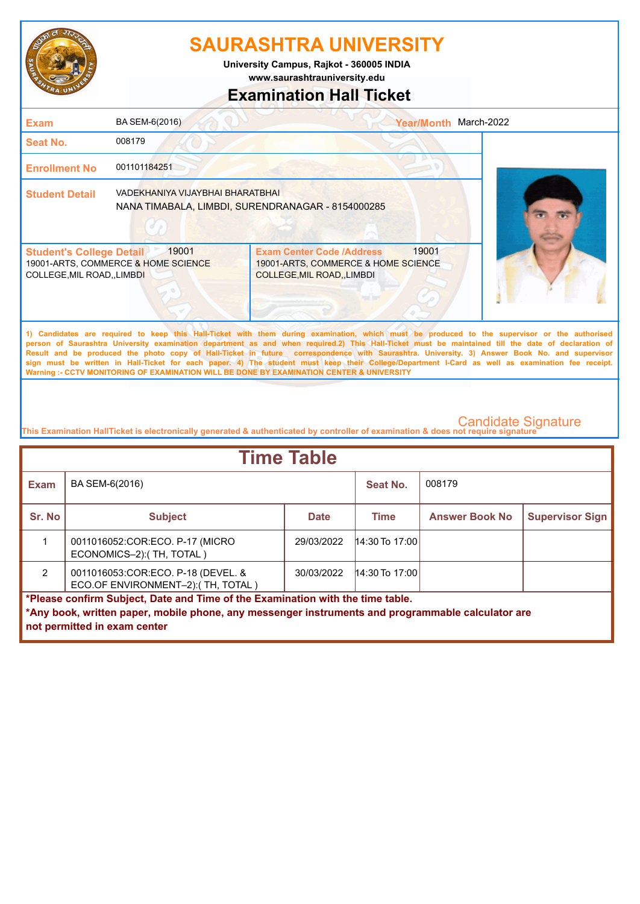

**www.saurashtrauniversity.edu University Campus, Rajkot - 360005 INDIA**

## **Examination Hall Ticket**

| Exam                                                         | BA SEM-6(2016)                               |                                                                                                      | <b>Year/Month</b> | March-2022                                                                                                                                                                                                                                                                                                                                                                                                                                         |
|--------------------------------------------------------------|----------------------------------------------|------------------------------------------------------------------------------------------------------|-------------------|----------------------------------------------------------------------------------------------------------------------------------------------------------------------------------------------------------------------------------------------------------------------------------------------------------------------------------------------------------------------------------------------------------------------------------------------------|
| Seat No.                                                     | 008179                                       |                                                                                                      |                   |                                                                                                                                                                                                                                                                                                                                                                                                                                                    |
| <b>Enrollment No</b>                                         | 001101184251                                 |                                                                                                      |                   |                                                                                                                                                                                                                                                                                                                                                                                                                                                    |
| <b>Student Detail</b>                                        | VADEKHANIYA VIJAYBHAI BHARATBHAI             | NANA TIMABALA, LIMBDI, SURENDRANAGAR - 8154000285                                                    |                   |                                                                                                                                                                                                                                                                                                                                                                                                                                                    |
| <b>Student's College Detail</b><br>COLLEGE, MIL ROAD, LIMBDI | 19001<br>19001-ARTS, COMMERCE & HOME SCIENCE | <b>Exam Center Code /Address</b><br>19001-ARTS, COMMERCE & HOME SCIENCE<br>COLLEGE, MIL ROAD, LIMBDI | 19001             |                                                                                                                                                                                                                                                                                                                                                                                                                                                    |
|                                                              |                                              |                                                                                                      |                   | 1) Candidates are required to keep this Hall-Ticket with them during examination, which must be produced to the supervisor or the authorised<br>person of Saurashtra University examination department as and when required.2) This Hall-Ticket must be maintained till the date of declaration of<br>Result and be produced the photo copy of Hall-Ticket in future correspondence with Saurashtra. University. 3) Answer Book No. and supervisor |

**Result and be produced the photo copy of Hall-Ticket in future correspondence with Saurashtra. University. 3) Answer Book No. and supervisor sign must be written in Hall-Ticket for each paper. 4) The student must keep their College/Department I-Card as well as examination fee receipt. Warning :- CCTV MONITORING OF EXAMINATION WILL BE DONE BY EXAMINATION CENTER & UNIVERSITY**

| <b>Time Table</b>                                                                                 |                                                                            |             |                  |                       |                        |
|---------------------------------------------------------------------------------------------------|----------------------------------------------------------------------------|-------------|------------------|-----------------------|------------------------|
| Exam                                                                                              | BA SEM-6(2016)                                                             |             | Seat No.         | 008179                |                        |
| Sr. No                                                                                            | <b>Subject</b>                                                             | <b>Date</b> | <b>Time</b>      | <b>Answer Book No</b> | <b>Supervisor Sign</b> |
|                                                                                                   | 0011016052:COR:ECO. P-17 (MICRO<br>ECONOMICS-2):(TH, TOTAL)                | 29/03/2022  | $14:30$ To 17:00 |                       |                        |
| $\mathcal{P}$                                                                                     | 0011016053: COR: ECO. P-18 (DEVEL. &<br>ECO.OF ENVIRONMENT-2): (TH, TOTAL) | 30/03/2022  | $14:30$ To 17:00 |                       |                        |
| *Please confirm Subject, Date and Time of the Examination with the time table.                    |                                                                            |             |                  |                       |                        |
| *Any book, written paper, mobile phone, any messenger instruments and programmable calculator are |                                                                            |             |                  |                       |                        |
|                                                                                                   | not permitted in exam center                                               |             |                  |                       |                        |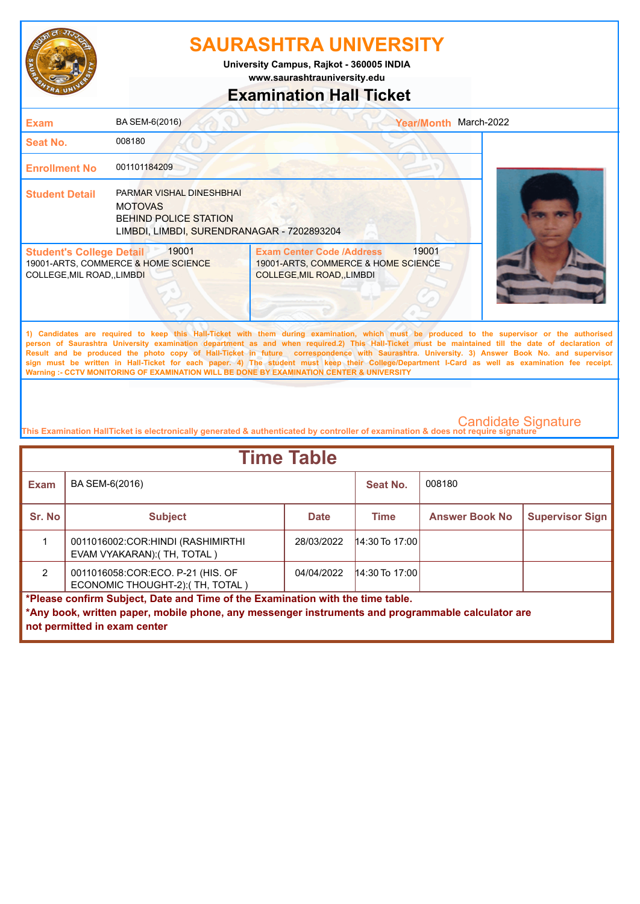

**www.saurashtrauniversity.edu University Campus, Rajkot - 360005 INDIA**

## **Examination Hall Ticket**

| <b>Exam</b>                                                    | BA SEM-6(2016)                                                                                                           |                                                                                                      | Year/Month March-2022                                                                                                                                                                                                                                                                                                                                                                                                                              |
|----------------------------------------------------------------|--------------------------------------------------------------------------------------------------------------------------|------------------------------------------------------------------------------------------------------|----------------------------------------------------------------------------------------------------------------------------------------------------------------------------------------------------------------------------------------------------------------------------------------------------------------------------------------------------------------------------------------------------------------------------------------------------|
| Seat No.                                                       | 008180                                                                                                                   |                                                                                                      |                                                                                                                                                                                                                                                                                                                                                                                                                                                    |
| <b>Enrollment No</b>                                           | 001101184209                                                                                                             |                                                                                                      |                                                                                                                                                                                                                                                                                                                                                                                                                                                    |
| <b>Student Detail</b>                                          | PARMAR VISHAL DINESHBHAI<br><b>MOTOVAS</b><br><b>BEHIND POLICE STATION</b><br>LIMBDI, LIMBDI, SURENDRANAGAR - 7202893204 |                                                                                                      |                                                                                                                                                                                                                                                                                                                                                                                                                                                    |
| <b>Student's College Detail</b><br>COLLEGE, MIL ROAD, , LIMBDI | 19001<br>19001-ARTS, COMMERCE & HOME SCIENCE                                                                             | <b>Exam Center Code /Address</b><br>19001-ARTS, COMMERCE & HOME SCIENCE<br>COLLEGE, MIL ROAD, LIMBDI | 19001                                                                                                                                                                                                                                                                                                                                                                                                                                              |
|                                                                |                                                                                                                          |                                                                                                      | 1) Candidates are required to keep this Hall-Ticket with them during examination, which must be produced to the supervisor or the authorised<br>person of Saurashtra University examination department as and when required.2) This Hall-Ticket must be maintained till the date of declaration of<br>Result and be produced the photo copy of Hall-Ticket in future correspondence with Saurashtra. University. 3) Answer Book No. and supervisor |

**sign must be written in Hall-Ticket for each paper. 4) The student must keep their College/Department I-Card as well as examination fee receipt. Warning :- CCTV MONITORING OF EXAMINATION WILL BE DONE BY EXAMINATION CENTER & UNIVERSITY**

| <b>Time Table</b>                                                                                 |                                                                                |             |                  |                       |                        |  |
|---------------------------------------------------------------------------------------------------|--------------------------------------------------------------------------------|-------------|------------------|-----------------------|------------------------|--|
| <b>Exam</b>                                                                                       | BA SEM-6(2016)                                                                 |             | Seat No.         | 008180                |                        |  |
| Sr. No                                                                                            | <b>Subject</b>                                                                 | <b>Date</b> | <b>Time</b>      | <b>Answer Book No</b> | <b>Supervisor Sign</b> |  |
|                                                                                                   | 0011016002:COR: HINDI (RASHIMIRTHI<br>EVAM VYAKARAN): (TH, TOTAL)              | 28/03/2022  | $14:30$ To 17:00 |                       |                        |  |
| $\mathcal{P}$                                                                                     | 0011016058:COR:ECO. P-21 (HIS. OF<br>ECONOMIC THOUGHT-2): (TH, TOTAL)          | 04/04/2022  | $14:30$ To 17:00 |                       |                        |  |
|                                                                                                   | *Please confirm Subject, Date and Time of the Examination with the time table. |             |                  |                       |                        |  |
| *Any book, written paper, mobile phone, any messenger instruments and programmable calculator are |                                                                                |             |                  |                       |                        |  |
|                                                                                                   | not permitted in exam center                                                   |             |                  |                       |                        |  |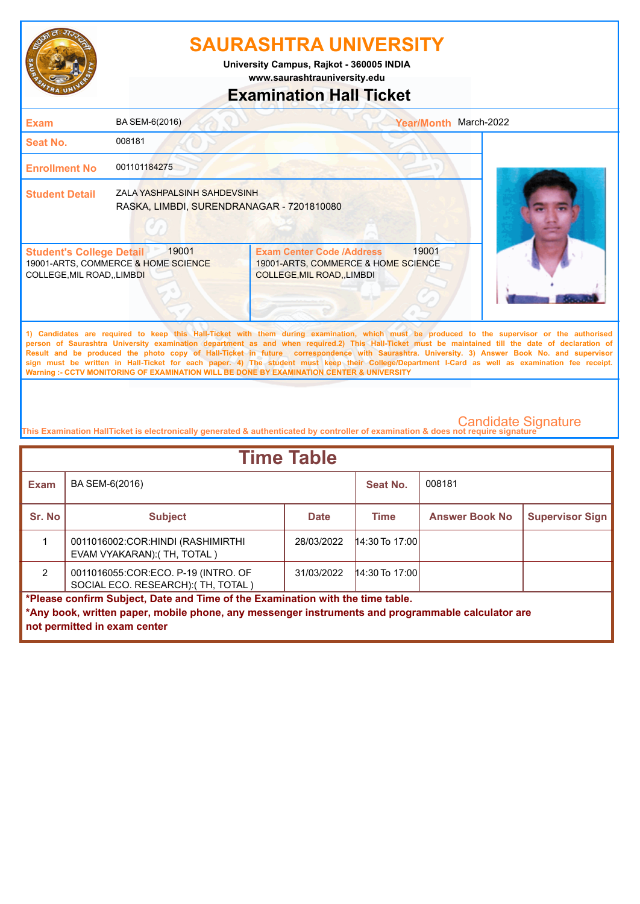

**www.saurashtrauniversity.edu University Campus, Rajkot - 360005 INDIA**

## **Examination Hall Ticket**

| <b>Exam</b>                                                    | BA SEM-6(2016)                                                           | <b>Year/Month</b>                                                                                               | March-2022                                                                                                                                                                                                                                                                                                                                                                                                                                                                                                                                                                                             |
|----------------------------------------------------------------|--------------------------------------------------------------------------|-----------------------------------------------------------------------------------------------------------------|--------------------------------------------------------------------------------------------------------------------------------------------------------------------------------------------------------------------------------------------------------------------------------------------------------------------------------------------------------------------------------------------------------------------------------------------------------------------------------------------------------------------------------------------------------------------------------------------------------|
| <b>Seat No.</b>                                                | 008181                                                                   |                                                                                                                 |                                                                                                                                                                                                                                                                                                                                                                                                                                                                                                                                                                                                        |
| <b>Enrollment No</b>                                           | 001101184275                                                             |                                                                                                                 |                                                                                                                                                                                                                                                                                                                                                                                                                                                                                                                                                                                                        |
| <b>Student Detail</b>                                          | ZALA YASHPALSINH SAHDEVSINH<br>RASKA, LIMBDI, SURENDRANAGAR - 7201810080 |                                                                                                                 |                                                                                                                                                                                                                                                                                                                                                                                                                                                                                                                                                                                                        |
| <b>Student's College Detail</b><br>COLLEGE, MIL ROAD, , LIMBDI | 19001<br>19001-ARTS, COMMERCE & HOME SCIENCE                             | 19001<br><b>Exam Center Code /Address</b><br>19001-ARTS, COMMERCE & HOME SCIENCE<br>COLLEGE, MIL ROAD, , LIMBDI |                                                                                                                                                                                                                                                                                                                                                                                                                                                                                                                                                                                                        |
|                                                                |                                                                          | Warning :- CCTV MONITORING OF EXAMINATION WILL BE DONE BY EXAMINATION CENTER & UNIVERSITY                       | 1) Candidates are required to keep this Hall-Ticket with them during examination, which must be produced to the supervisor or the authorised<br>person of Saurashtra University examination department as and when required.2) This Hall-Ticket must be maintained till the date of declaration of<br>Result and be produced the photo copy of Hall-Ticket in future correspondence with Saurashtra. University. 3) Answer Book No. and supervisor<br>sign must be written in Hall-Ticket for each paper. 4) The student must keep their College/Department I-Card as well as examination fee receipt. |

| <b>Time Table</b>                                                                                 |                                                                                |             |                  |                       |                        |  |
|---------------------------------------------------------------------------------------------------|--------------------------------------------------------------------------------|-------------|------------------|-----------------------|------------------------|--|
| <b>Exam</b>                                                                                       | BA SEM-6(2016)                                                                 |             | Seat No.         | 008181                |                        |  |
| Sr. No                                                                                            | <b>Subject</b>                                                                 | <b>Date</b> | <b>Time</b>      | <b>Answer Book No</b> | <b>Supervisor Sign</b> |  |
|                                                                                                   | 0011016002:COR: HINDI (RASHIMIRTHI)<br>EVAM VYAKARAN): (TH, TOTAL)             | 28/03/2022  | $14:30$ To 17:00 |                       |                        |  |
| $\mathcal{P}$                                                                                     | 0011016055:COR:ECO. P-19 (INTRO. OF<br>SOCIAL ECO. RESEARCH):(TH, TOTAL)       | 31/03/2022  | $14:30$ To 17:00 |                       |                        |  |
|                                                                                                   | *Please confirm Subject, Date and Time of the Examination with the time table. |             |                  |                       |                        |  |
| *Any book, written paper, mobile phone, any messenger instruments and programmable calculator are |                                                                                |             |                  |                       |                        |  |
|                                                                                                   | not permitted in exam center                                                   |             |                  |                       |                        |  |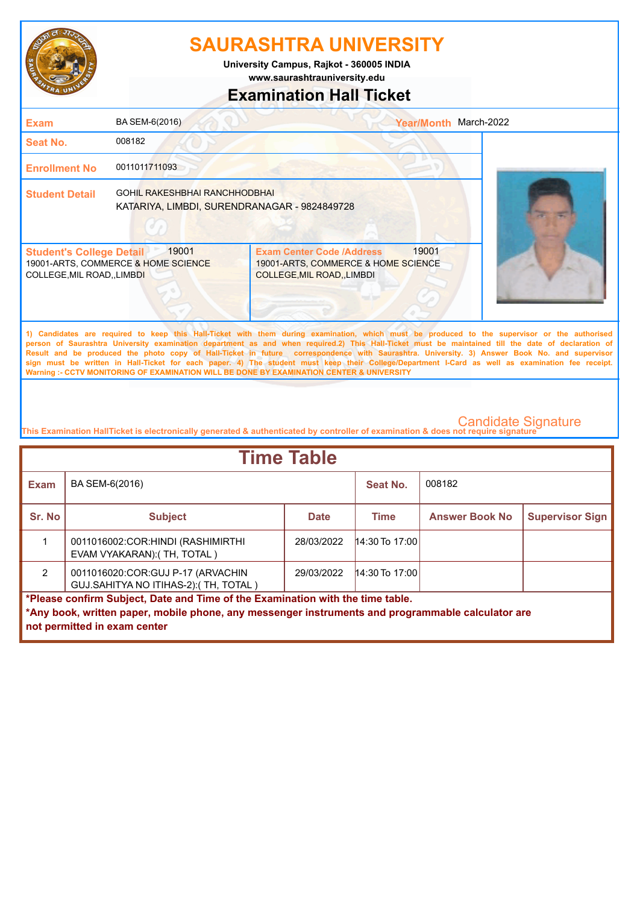

**University Campus, Rajkot - 360005 INDIA**

**www.saurashtrauniversity.edu**

### **Examination Hall Ticket**

| <b>Exam</b>                                                         | BA SEM-6(2016)                                                                       |                                                                                                                                                                                                                                                                                                    | Year/Month March-2022 |  |
|---------------------------------------------------------------------|--------------------------------------------------------------------------------------|----------------------------------------------------------------------------------------------------------------------------------------------------------------------------------------------------------------------------------------------------------------------------------------------------|-----------------------|--|
| Seat No.                                                            | 008182                                                                               |                                                                                                                                                                                                                                                                                                    |                       |  |
| <b>Enrollment No</b>                                                | 0011011711093                                                                        |                                                                                                                                                                                                                                                                                                    |                       |  |
| <b>Student Detail</b>                                               | <b>GOHIL RAKESHBHAI RANCHHODBHAI</b><br>KATARIYA, LIMBDI, SURENDRANAGAR - 9824849728 |                                                                                                                                                                                                                                                                                                    |                       |  |
| <b>Student's College Detail</b><br><b>COLLEGE, MIL ROAD, LIMBDI</b> | 19001<br>19001-ARTS, COMMERCE & HOME SCIENCE                                         | <b>Exam Center Code /Address</b><br>19001-ARTS, COMMERCE & HOME SCIENCE<br>COLLEGE, MIL ROAD, LIMBDI                                                                                                                                                                                               | 19001                 |  |
|                                                                     |                                                                                      | 1) Candidates are required to keep this Hall-Ticket with them during examination, which must be produced to the supervisor or the authorised<br>person of Saurashtra University examination department as and when required.2) This Hall-Ticket must be maintained till the date of declaration of |                       |  |

**Result and be produced the photo copy of Hall-Ticket in future correspondence with Saurashtra. University. 3) Answer Book No. and supervisor sign must be written in Hall-Ticket for each paper. 4) The student must keep their College/Department I-Card as well as examination fee receipt. Warning :- CCTV MONITORING OF EXAMINATION WILL BE DONE BY EXAMINATION CENTER & UNIVERSITY**

| <b>Time Table</b>                                                                                 |                                                                            |             |                  |                       |                        |  |
|---------------------------------------------------------------------------------------------------|----------------------------------------------------------------------------|-------------|------------------|-----------------------|------------------------|--|
| <b>Exam</b>                                                                                       | BA SEM-6(2016)                                                             |             | Seat No.         | 008182                |                        |  |
| Sr. No                                                                                            | <b>Subject</b>                                                             | <b>Date</b> | <b>Time</b>      | <b>Answer Book No</b> | <b>Supervisor Sign</b> |  |
|                                                                                                   | 0011016002:COR: HINDI (RASHIMIRTHI)<br>EVAM VYAKARAN): (TH, TOTAL)         | 28/03/2022  | $14:30$ To 17:00 |                       |                        |  |
| $\mathcal{P}$                                                                                     | 0011016020:COR:GUJ P-17 (ARVACHIN<br>GUJ.SAHITYA NO ITIHAS-2): (TH, TOTAL) | 29/03/2022  | $14:30$ To 17:00 |                       |                        |  |
| *Please confirm Subject, Date and Time of the Examination with the time table.                    |                                                                            |             |                  |                       |                        |  |
| *Any book, written paper, mobile phone, any messenger instruments and programmable calculator are |                                                                            |             |                  |                       |                        |  |
|                                                                                                   | not permitted in exam center                                               |             |                  |                       |                        |  |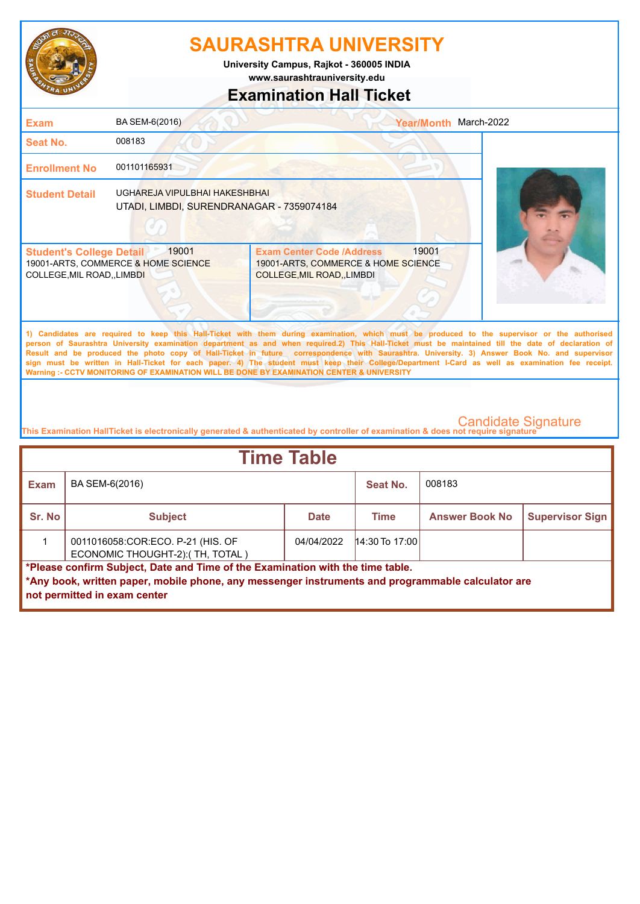

**www.saurashtrauniversity.edu University Campus, Rajkot - 360005 INDIA**

## **Examination Hall Ticket**

| <b>Exam</b>                                                         | BA SEM-6(2016)                                                             |                                                                                                                                                                                                                                                                                                                                                                                                                                                                                                                                                                                                        | March-2022<br><b>Year/Month</b> |  |
|---------------------------------------------------------------------|----------------------------------------------------------------------------|--------------------------------------------------------------------------------------------------------------------------------------------------------------------------------------------------------------------------------------------------------------------------------------------------------------------------------------------------------------------------------------------------------------------------------------------------------------------------------------------------------------------------------------------------------------------------------------------------------|---------------------------------|--|
| Seat No.                                                            | 008183                                                                     |                                                                                                                                                                                                                                                                                                                                                                                                                                                                                                                                                                                                        |                                 |  |
| <b>Enrollment No</b>                                                | 001101165931                                                               |                                                                                                                                                                                                                                                                                                                                                                                                                                                                                                                                                                                                        |                                 |  |
| <b>Student Detail</b>                                               | UGHAREJA VIPULBHAI HAKESHBHAI<br>UTADI, LIMBDI, SURENDRANAGAR - 7359074184 |                                                                                                                                                                                                                                                                                                                                                                                                                                                                                                                                                                                                        |                                 |  |
| <b>Student's College Detail</b><br><b>COLLEGE, MIL ROAD, LIMBDI</b> | 19001<br>19001-ARTS, COMMERCE & HOME SCIENCE                               | <b>Exam Center Code /Address</b><br>19001-ARTS, COMMERCE & HOME SCIENCE<br><b>COLLEGE, MIL ROAD, LIMBDI</b>                                                                                                                                                                                                                                                                                                                                                                                                                                                                                            | 19001                           |  |
|                                                                     |                                                                            | 1) Candidates are required to keep this Hall-Ticket with them during examination, which must be produced to the supervisor or the authorised<br>person of Saurashtra University examination department as and when required.2) This Hall-Ticket must be maintained till the date of declaration of<br>Result and be produced the photo copy of Hall-Ticket in future correspondence with Saurashtra. University. 3) Answer Book No. and supervisor<br>sign must be written in Hall-Ticket for each paper. 4) The student must keep their College/Department I-Card as well as examination fee receipt. |                                 |  |

**This Examination HallTicket is electronically generated & authenticated by controller of examination & does not require signature** 

**Warning :- CCTV MONITORING OF EXAMINATION WILL BE DONE BY EXAMINATION CENTER & UNIVERSITY**

| <b>Time Table</b> |                                                                                                                                                                                                                     |             |                  |                       |                        |  |  |
|-------------------|---------------------------------------------------------------------------------------------------------------------------------------------------------------------------------------------------------------------|-------------|------------------|-----------------------|------------------------|--|--|
| <b>Exam</b>       | BA SEM-6(2016)                                                                                                                                                                                                      |             | Seat No.         | 008183                |                        |  |  |
| Sr. No            | <b>Subject</b>                                                                                                                                                                                                      | <b>Date</b> | <b>Time</b>      | <b>Answer Book No</b> | <b>Supervisor Sign</b> |  |  |
|                   | 0011016058:COR:ECO. P-21 (HIS. OF<br>ECONOMIC THOUGHT-2): (TH, TOTAL)                                                                                                                                               | 04/04/2022  | $14:30$ To 17:00 |                       |                        |  |  |
|                   | *Please confirm Subject, Date and Time of the Examination with the time table.<br>*Any book, written paper, mobile phone, any messenger instruments and programmable calculator are<br>not permitted in exam center |             |                  |                       |                        |  |  |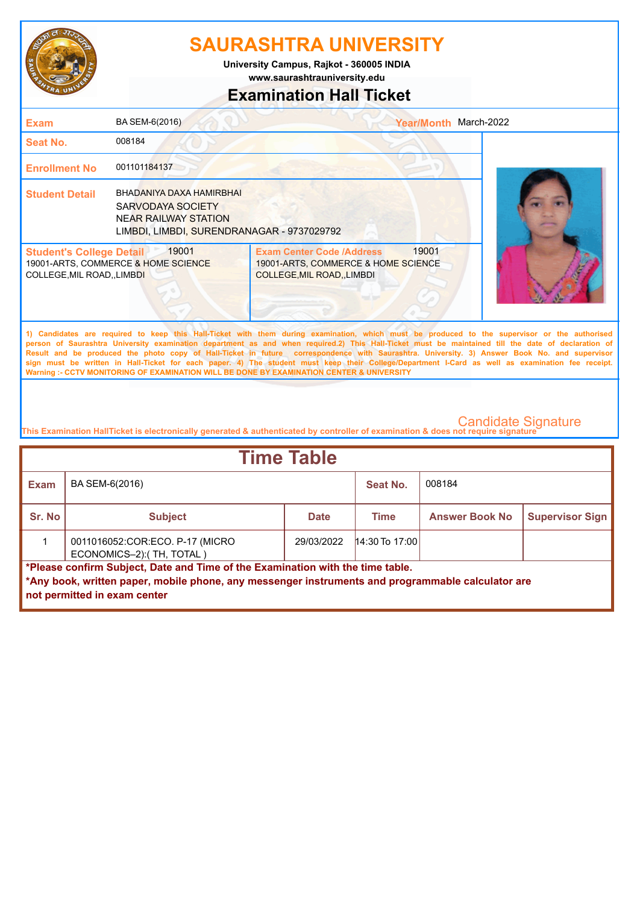

**www.saurashtrauniversity.edu University Campus, Rajkot - 360005 INDIA**

## **Examination Hall Ticket**

| <b>Exam</b>                                                   | BA SEM-6(2016)                                                                                                             | Year/Month March-2022                                                                                                                                                                                                                                                                                                                                                                                                                                                                                                                                                                                                                                                                               |  |
|---------------------------------------------------------------|----------------------------------------------------------------------------------------------------------------------------|-----------------------------------------------------------------------------------------------------------------------------------------------------------------------------------------------------------------------------------------------------------------------------------------------------------------------------------------------------------------------------------------------------------------------------------------------------------------------------------------------------------------------------------------------------------------------------------------------------------------------------------------------------------------------------------------------------|--|
| <b>Seat No.</b>                                               | 008184                                                                                                                     |                                                                                                                                                                                                                                                                                                                                                                                                                                                                                                                                                                                                                                                                                                     |  |
| <b>Enrollment No</b>                                          | 001101184137                                                                                                               |                                                                                                                                                                                                                                                                                                                                                                                                                                                                                                                                                                                                                                                                                                     |  |
| <b>Student Detail</b>                                         | BHADANIYA DAXA HAMIRBHAI<br>SARVODAYA SOCIETY<br><b>NEAR RAILWAY STATION</b><br>LIMBDI, LIMBDI, SURENDRANAGAR - 9737029792 |                                                                                                                                                                                                                                                                                                                                                                                                                                                                                                                                                                                                                                                                                                     |  |
| <b>Student's College Detail</b><br>COLLEGE, MIL ROAD,, LIMBDI | 19001<br>19001-ARTS, COMMERCE & HOME SCIENCE                                                                               | 19001<br><b>Exam Center Code /Address</b><br>19001-ARTS, COMMERCE & HOME SCIENCE<br>COLLEGE, MIL ROAD, , LIMBDI                                                                                                                                                                                                                                                                                                                                                                                                                                                                                                                                                                                     |  |
|                                                               |                                                                                                                            | 1) Candidates are required to keep this Hall-Ticket with them during examination, which must be produced to the supervisor or the authorised<br>person of Saurashtra University examination department as and when required.2) This Hall-Ticket must be maintained till the date of declaration of<br>Result and be produced the photo copy of Hall-Ticket in future correspondence with Saurashtra. University. 3) Answer Book No. and supervisor<br>sign must be written in Hall-Ticket for each paper. 4) The student must keep their College/Department I-Card as well as examination fee receipt.<br>Warning :- CCTV MONITORING OF EXAMINATION WILL BE DONE BY EXAMINATION CENTER & UNIVERSITY |  |

| <b>Time Table</b> |                                                                                                                                                                                                                     |             |                  |                       |                        |  |  |
|-------------------|---------------------------------------------------------------------------------------------------------------------------------------------------------------------------------------------------------------------|-------------|------------------|-----------------------|------------------------|--|--|
| Exam              | BA SEM-6(2016)                                                                                                                                                                                                      |             | Seat No.         | 008184                |                        |  |  |
| Sr. No            | <b>Subject</b>                                                                                                                                                                                                      | <b>Date</b> | Time             | <b>Answer Book No</b> | <b>Supervisor Sign</b> |  |  |
|                   | 0011016052:COR:ECO. P-17 (MICRO<br>ECONOMICS-2): (TH, TOTAL)                                                                                                                                                        | 29/03/2022  | $14:30$ To 17:00 |                       |                        |  |  |
|                   | *Please confirm Subject, Date and Time of the Examination with the time table.<br>*Any book, written paper, mobile phone, any messenger instruments and programmable calculator are<br>not permitted in exam center |             |                  |                       |                        |  |  |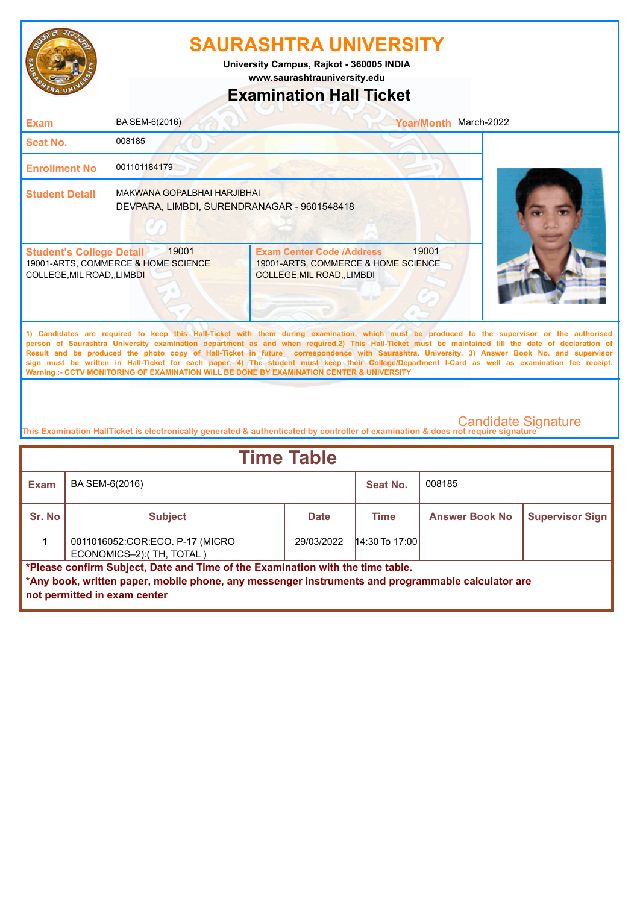

**www.saurashtrauniversity.edu University Campus, Rajkot - 360005 INDIA**

## **Examination Hall Ticket**

| <b>Exam</b>                                                    | BA SEM-6(2016)                                                             |                                                                                                                                                                                                                                                                                                                                                                                                                                                                                                                                                                                                        | Year/Month March-2022 |  |
|----------------------------------------------------------------|----------------------------------------------------------------------------|--------------------------------------------------------------------------------------------------------------------------------------------------------------------------------------------------------------------------------------------------------------------------------------------------------------------------------------------------------------------------------------------------------------------------------------------------------------------------------------------------------------------------------------------------------------------------------------------------------|-----------------------|--|
| <b>Seat No.</b>                                                | 008185                                                                     |                                                                                                                                                                                                                                                                                                                                                                                                                                                                                                                                                                                                        |                       |  |
| <b>Enrollment No</b>                                           | 001101184179                                                               |                                                                                                                                                                                                                                                                                                                                                                                                                                                                                                                                                                                                        |                       |  |
| <b>Student Detail</b>                                          | MAKWANA GOPALBHAI HARJIBHAI<br>DEVPARA, LIMBDI, SURENDRANAGAR - 9601548418 |                                                                                                                                                                                                                                                                                                                                                                                                                                                                                                                                                                                                        |                       |  |
| <b>Student's College Detail</b><br>COLLEGE, MIL ROAD, , LIMBDI | 19001<br>19001-ARTS, COMMERCE & HOME SCIENCE                               | 19001<br><b>Exam Center Code /Address</b><br>19001-ARTS, COMMERCE & HOME SCIENCE<br>COLLEGE, MIL ROAD, , LIMBDI                                                                                                                                                                                                                                                                                                                                                                                                                                                                                        |                       |  |
|                                                                |                                                                            | 1) Candidates are required to keep this Hall-Ticket with them during examination, which must be produced to the supervisor or the authorised<br>person of Saurashtra University examination department as and when required.2) This Hall-Ticket must be maintained till the date of declaration of<br>Result and be produced the photo copy of Hall-Ticket in future correspondence with Saurashtra. University. 3) Answer Book No. and supervisor<br>sign must be written in Hall-Ticket for each paper. 4) The student must keep their College/Department I-Card as well as examination fee receipt. |                       |  |

**This Examination HallTicket is electronically generated & authenticated by controller of examination & does not require signature** 

**Warning :- CCTV MONITORING OF EXAMINATION WILL BE DONE BY EXAMINATION CENTER & UNIVERSITY**

| <b>Time Table</b> |                                                                                                                                                                                                                     |             |                  |                       |                        |  |  |
|-------------------|---------------------------------------------------------------------------------------------------------------------------------------------------------------------------------------------------------------------|-------------|------------------|-----------------------|------------------------|--|--|
| <b>Exam</b>       | BA SEM-6(2016)                                                                                                                                                                                                      |             | Seat No.         | 008185                |                        |  |  |
| Sr. No            | <b>Subject</b>                                                                                                                                                                                                      | <b>Date</b> | <b>Time</b>      | <b>Answer Book No</b> | <b>Supervisor Sign</b> |  |  |
|                   | 0011016052:COR:ECO. P-17 (MICRO<br>ECONOMICS-2):(TH, TOTAL)                                                                                                                                                         | 29/03/2022  | $14:30$ To 17:00 |                       |                        |  |  |
|                   | *Please confirm Subject, Date and Time of the Examination with the time table.<br>*Any book, written paper, mobile phone, any messenger instruments and programmable calculator are<br>not permitted in exam center |             |                  |                       |                        |  |  |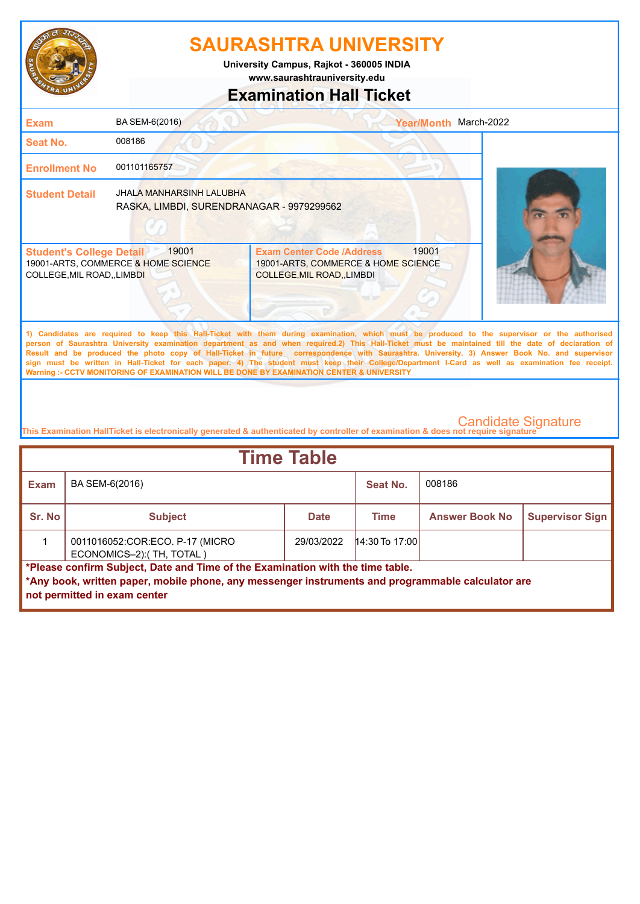

**University Campus, Rajkot - 360005 INDIA**

**www.saurashtrauniversity.edu**

### **Examination Hall Ticket**

| <b>Exam</b>                                                                                                                                                                                                                                                                                                                                                                                                                                                                                                                                                                                                                                                                                         | BA SEM-6(2016)                                                               |                                                                                                      | Year/Month March-2022 |  |  |
|-----------------------------------------------------------------------------------------------------------------------------------------------------------------------------------------------------------------------------------------------------------------------------------------------------------------------------------------------------------------------------------------------------------------------------------------------------------------------------------------------------------------------------------------------------------------------------------------------------------------------------------------------------------------------------------------------------|------------------------------------------------------------------------------|------------------------------------------------------------------------------------------------------|-----------------------|--|--|
| <b>Seat No.</b>                                                                                                                                                                                                                                                                                                                                                                                                                                                                                                                                                                                                                                                                                     | 008186                                                                       |                                                                                                      |                       |  |  |
| <b>Enrollment No</b>                                                                                                                                                                                                                                                                                                                                                                                                                                                                                                                                                                                                                                                                                | 001101165757                                                                 |                                                                                                      |                       |  |  |
| <b>Student Detail</b>                                                                                                                                                                                                                                                                                                                                                                                                                                                                                                                                                                                                                                                                               | <b>JHALA MANHARSINH LALUBHA</b><br>RASKA, LIMBDI, SURENDRANAGAR - 9979299562 |                                                                                                      |                       |  |  |
| <b>Student's College Detail</b><br>COLLEGE, MIL ROAD, , LIMBDI                                                                                                                                                                                                                                                                                                                                                                                                                                                                                                                                                                                                                                      | 19001<br>19001-ARTS, COMMERCE & HOME SCIENCE                                 | <b>Exam Center Code /Address</b><br>19001-ARTS, COMMERCE & HOME SCIENCE<br>COLLEGE, MIL ROAD, LIMBDI | 19001                 |  |  |
| 1) Candidates are required to keep this Hall-Ticket with them during examination, which must be produced to the supervisor or the authorised<br>person of Saurashtra University examination department as and when required.2) This Hall-Ticket must be maintained till the date of declaration of<br>Result and be produced the photo copy of Hall-Ticket in future correspondence with Saurashtra. University. 3) Answer Book No. and supervisor<br>sign must be written in Hall-Ticket for each paper. 4) The student must keep their College/Department I-Card as well as examination fee receipt.<br>Warning :- CCTV MONITORING OF EXAMINATION WILL BE DONE BY EXAMINATION CENTER & UNIVERSITY |                                                                              |                                                                                                      |                       |  |  |

| <b>Time Table</b>                                                                                                                                                                                                   |                                                              |             |                  |                       |                        |  |
|---------------------------------------------------------------------------------------------------------------------------------------------------------------------------------------------------------------------|--------------------------------------------------------------|-------------|------------------|-----------------------|------------------------|--|
| Exam                                                                                                                                                                                                                | BA SEM-6(2016)                                               |             | Seat No.         | 008186                |                        |  |
| Sr. No                                                                                                                                                                                                              | <b>Subject</b>                                               | <b>Date</b> | Time             | <b>Answer Book No</b> | <b>Supervisor Sign</b> |  |
|                                                                                                                                                                                                                     | 0011016052:COR:ECO. P-17 (MICRO<br>ECONOMICS-2): (TH, TOTAL) | 29/03/2022  | $14:30$ To 17:00 |                       |                        |  |
| *Please confirm Subject, Date and Time of the Examination with the time table.<br>*Any book, written paper, mobile phone, any messenger instruments and programmable calculator are<br>not permitted in exam center |                                                              |             |                  |                       |                        |  |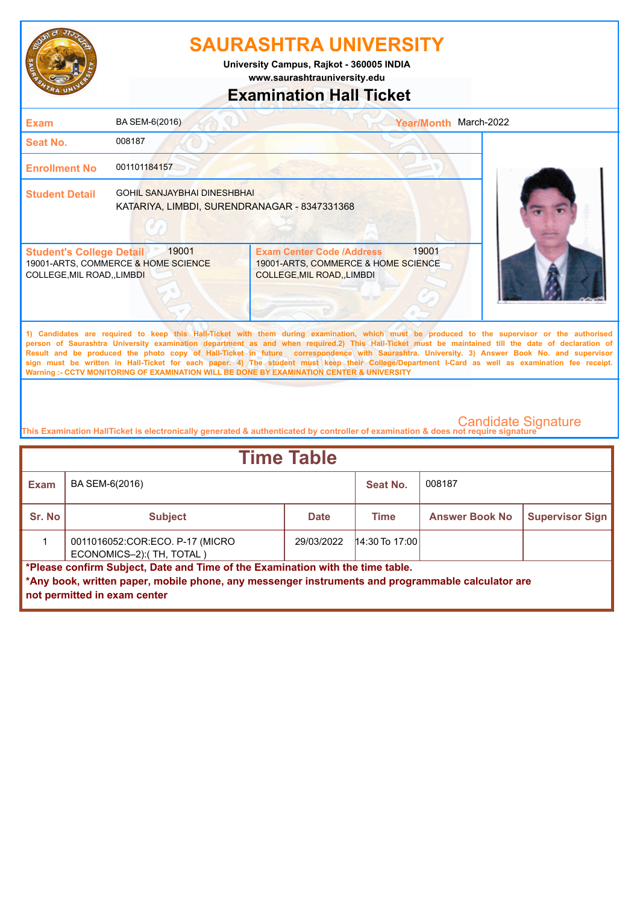

**www.saurashtrauniversity.edu University Campus, Rajkot - 360005 INDIA**

### **Examination Hall Ticket**

| <b>Exam</b>                                                                                                                                                                                                                                                                                                                                                                                                                                                                                                                                                                                                                                                                                         | BA SEM-6(2016)                                                                     | Year/Month March-2022                                                                                           |  |  |
|-----------------------------------------------------------------------------------------------------------------------------------------------------------------------------------------------------------------------------------------------------------------------------------------------------------------------------------------------------------------------------------------------------------------------------------------------------------------------------------------------------------------------------------------------------------------------------------------------------------------------------------------------------------------------------------------------------|------------------------------------------------------------------------------------|-----------------------------------------------------------------------------------------------------------------|--|--|
| Seat No.                                                                                                                                                                                                                                                                                                                                                                                                                                                                                                                                                                                                                                                                                            | 008187                                                                             |                                                                                                                 |  |  |
| <b>Enrollment No</b>                                                                                                                                                                                                                                                                                                                                                                                                                                                                                                                                                                                                                                                                                | 001101184157                                                                       |                                                                                                                 |  |  |
| <b>Student Detail</b>                                                                                                                                                                                                                                                                                                                                                                                                                                                                                                                                                                                                                                                                               | <b>GOHIL SANJAYBHAI DINESHBHAI</b><br>KATARIYA, LIMBDI, SURENDRANAGAR - 8347331368 |                                                                                                                 |  |  |
| <b>Student's College Detail</b><br>COLLEGE, MIL ROAD, , LIMBDI                                                                                                                                                                                                                                                                                                                                                                                                                                                                                                                                                                                                                                      | 19001<br>19001-ARTS, COMMERCE & HOME SCIENCE                                       | 19001<br><b>Exam Center Code /Address</b><br>19001-ARTS, COMMERCE & HOME SCIENCE<br>COLLEGE, MIL ROAD, , LIMBDI |  |  |
| 1) Candidates are required to keep this Hall-Ticket with them during examination, which must be produced to the supervisor or the authorised<br>person of Saurashtra University examination department as and when required.2) This Hall-Ticket must be maintained till the date of declaration of<br>Result and be produced the photo copy of Hall-Ticket in future correspondence with Saurashtra. University. 3) Answer Book No. and supervisor<br>sign must be written in Hall-Ticket for each paper. 4) The student must keep their College/Department I-Card as well as examination fee receipt.<br>Warning :- CCTV MONITORING OF EXAMINATION WILL BE DONE BY EXAMINATION CENTER & UNIVERSITY |                                                                                    |                                                                                                                 |  |  |

| <b>Time Table</b> |                                                                                                                                                                                                                     |             |                  |                       |                        |  |  |
|-------------------|---------------------------------------------------------------------------------------------------------------------------------------------------------------------------------------------------------------------|-------------|------------------|-----------------------|------------------------|--|--|
| <b>Exam</b>       | BA SEM-6(2016)                                                                                                                                                                                                      |             | Seat No.         | 008187                |                        |  |  |
| Sr. No            | <b>Subject</b>                                                                                                                                                                                                      | <b>Date</b> | Time             | <b>Answer Book No</b> | <b>Supervisor Sign</b> |  |  |
|                   | 0011016052:COR:ECO. P-17 (MICRO<br>ECONOMICS-2): (TH, TOTAL)                                                                                                                                                        | 29/03/2022  | $14:30$ To 17:00 |                       |                        |  |  |
|                   | *Please confirm Subject, Date and Time of the Examination with the time table.<br>*Any book, written paper, mobile phone, any messenger instruments and programmable calculator are<br>not permitted in exam center |             |                  |                       |                        |  |  |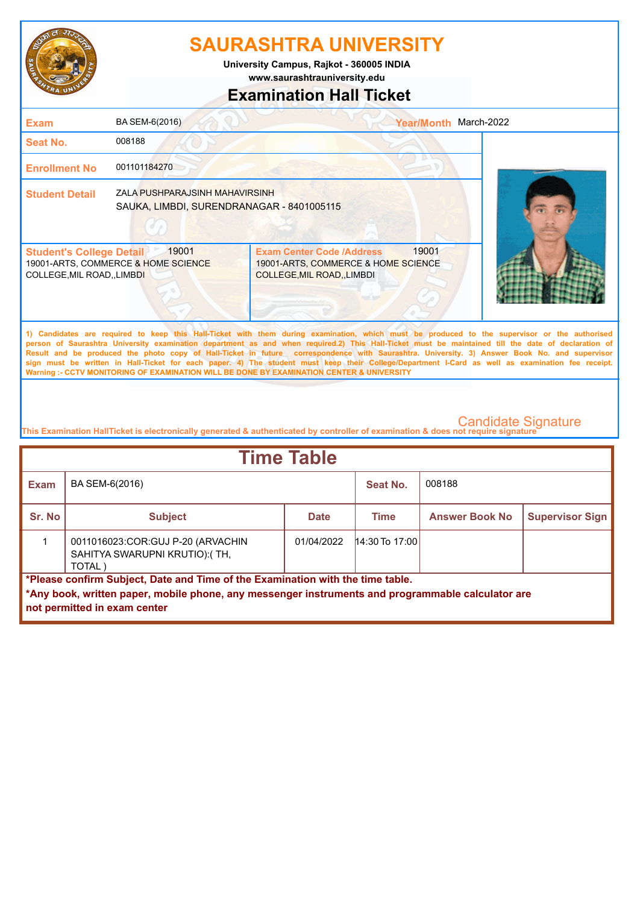

**University Campus, Rajkot - 360005 INDIA**

**www.saurashtrauniversity.edu**

### **Examination Hall Ticket**

| <b>Exam</b>                                                          | BA SEM-6(2016)                                                              |                                                                                                                                                                                                                                                                                                                                                                                                                                                    | Year/Month March-2022 |  |
|----------------------------------------------------------------------|-----------------------------------------------------------------------------|----------------------------------------------------------------------------------------------------------------------------------------------------------------------------------------------------------------------------------------------------------------------------------------------------------------------------------------------------------------------------------------------------------------------------------------------------|-----------------------|--|
| Seat No.                                                             | 008188                                                                      |                                                                                                                                                                                                                                                                                                                                                                                                                                                    |                       |  |
| <b>Enrollment No</b>                                                 | 001101184270                                                                |                                                                                                                                                                                                                                                                                                                                                                                                                                                    |                       |  |
| <b>Student Detail</b>                                                | ZALA PUSHPARAJSINH MAHAVIRSINH<br>SAUKA, LIMBDI, SURENDRANAGAR - 8401005115 |                                                                                                                                                                                                                                                                                                                                                                                                                                                    |                       |  |
| <b>Student's College Detail</b><br><b>COLLEGE, MIL ROAD,, LIMBDI</b> | 19001<br>19001-ARTS, COMMERCE & HOME SCIENCE                                | <b>Exam Center Code /Address</b><br>19001-ARTS, COMMERCE & HOME SCIENCE<br>COLLEGE, MIL ROAD, LIMBDI                                                                                                                                                                                                                                                                                                                                               | 19001                 |  |
|                                                                      |                                                                             | 1) Candidates are required to keep this Hall-Ticket with them during examination, which must be produced to the supervisor or the authorised<br>person of Saurashtra University examination department as and when required.2) This Hall-Ticket must be maintained till the date of declaration of<br>Result and be produced the photo copy of Hall-Ticket in future correspondence with Saurashtra. University. 3) Answer Book No. and supervisor |                       |  |

**sign must be written in Hall-Ticket for each paper. 4) The student must keep their College/Department I-Card as well as examination fee receipt. Warning :- CCTV MONITORING OF EXAMINATION WILL BE DONE BY EXAMINATION CENTER & UNIVERSITY**

| <b>Time Table</b>                                                                                                                                                                                                   |                                                                              |             |                  |                       |                        |  |
|---------------------------------------------------------------------------------------------------------------------------------------------------------------------------------------------------------------------|------------------------------------------------------------------------------|-------------|------------------|-----------------------|------------------------|--|
| <b>Exam</b>                                                                                                                                                                                                         | BA SEM-6(2016)                                                               |             | Seat No.         | 008188                |                        |  |
| Sr. No                                                                                                                                                                                                              | <b>Subject</b>                                                               | <b>Date</b> | Time             | <b>Answer Book No</b> | <b>Supervisor Sign</b> |  |
|                                                                                                                                                                                                                     | 0011016023:COR:GUJ P-20 (ARVACHIN<br>SAHITYA SWARUPNI KRUTIO):(TH,<br>TOTAL) | 01/04/2022  | $14:30$ To 17:00 |                       |                        |  |
| *Please confirm Subject, Date and Time of the Examination with the time table.<br>*Any book, written paper, mobile phone, any messenger instruments and programmable calculator are<br>not permitted in exam center |                                                                              |             |                  |                       |                        |  |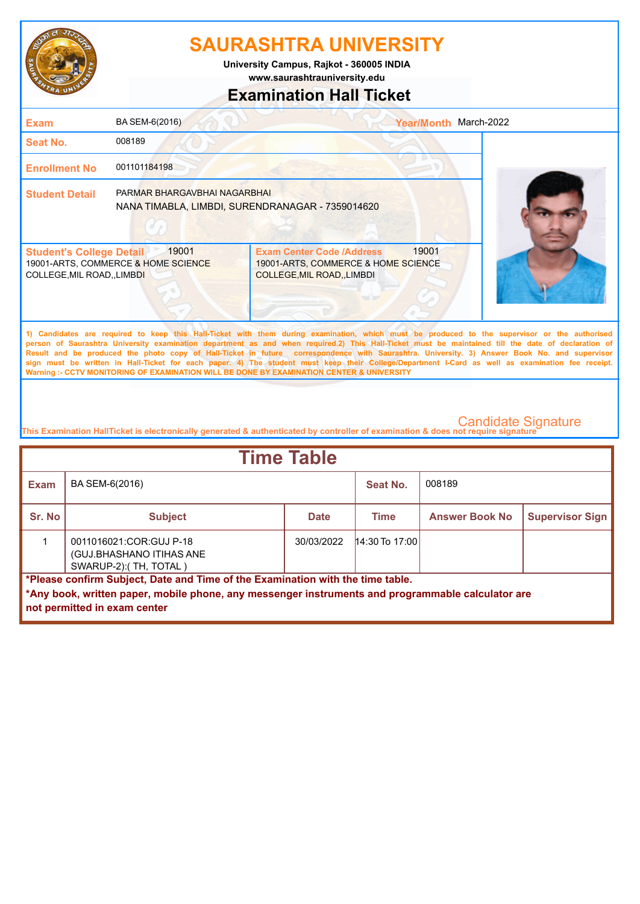

**www.saurashtrauniversity.edu University Campus, Rajkot - 360005 INDIA**

## **Examination Hall Ticket**

| <b>Exam</b>                                                    | BA SEM-6(2016)                                                                   |                                                                                                             | <b>Year/Month</b> | March-2022                                                                                                                                                                                                                                                                                                                                                                                                                                         |
|----------------------------------------------------------------|----------------------------------------------------------------------------------|-------------------------------------------------------------------------------------------------------------|-------------------|----------------------------------------------------------------------------------------------------------------------------------------------------------------------------------------------------------------------------------------------------------------------------------------------------------------------------------------------------------------------------------------------------------------------------------------------------|
| Seat No.                                                       | 008189                                                                           |                                                                                                             |                   |                                                                                                                                                                                                                                                                                                                                                                                                                                                    |
| <b>Enrollment No</b>                                           | 001101184198                                                                     |                                                                                                             |                   |                                                                                                                                                                                                                                                                                                                                                                                                                                                    |
| <b>Student Detail</b>                                          | PARMAR BHARGAVBHAI NAGARBHAI<br>NANA TIMABLA, LIMBDI, SURENDRANAGAR - 7359014620 |                                                                                                             |                   |                                                                                                                                                                                                                                                                                                                                                                                                                                                    |
| <b>Student's College Detail</b><br>COLLEGE, MIL ROAD, , LIMBDI | 19001<br>19001-ARTS, COMMERCE & HOME SCIENCE                                     | <b>Exam Center Code /Address</b><br>19001-ARTS, COMMERCE & HOME SCIENCE<br><b>COLLEGE, MIL ROAD, LIMBDI</b> | 19001             |                                                                                                                                                                                                                                                                                                                                                                                                                                                    |
|                                                                |                                                                                  |                                                                                                             |                   | 1) Candidates are required to keep this Hall-Ticket with them during examination, which must be produced to the supervisor or the authorised<br>person of Saurashtra University examination department as and when required.2) This Hall-Ticket must be maintained till the date of declaration of<br>Result and be produced the photo copy of Hall-Ticket in future correspondence with Saurashtra. University. 3) Answer Book No. and supervisor |

**sign must be written in Hall-Ticket for each paper. 4) The student must keep their College/Department I-Card as well as examination fee receipt. Warning :- CCTV MONITORING OF EXAMINATION WILL BE DONE BY EXAMINATION CENTER & UNIVERSITY**

| <b>Time Table</b>                                                                                                                                                                                                   |                                                                               |             |                  |                       |                        |  |
|---------------------------------------------------------------------------------------------------------------------------------------------------------------------------------------------------------------------|-------------------------------------------------------------------------------|-------------|------------------|-----------------------|------------------------|--|
| <b>Exam</b>                                                                                                                                                                                                         | BA SEM-6(2016)                                                                |             | Seat No.         | 008189                |                        |  |
| Sr. No                                                                                                                                                                                                              | <b>Subject</b>                                                                | <b>Date</b> | Time             | <b>Answer Book No</b> | <b>Supervisor Sign</b> |  |
|                                                                                                                                                                                                                     | 0011016021:COR:GUJ P-18<br>(GUJ.BHASHANO ITIHAS ANE<br>SWARUP-2): (TH, TOTAL) | 30/03/2022  | $14:30$ To 17:00 |                       |                        |  |
| *Please confirm Subject, Date and Time of the Examination with the time table.<br>*Any book, written paper, mobile phone, any messenger instruments and programmable calculator are<br>not permitted in exam center |                                                                               |             |                  |                       |                        |  |